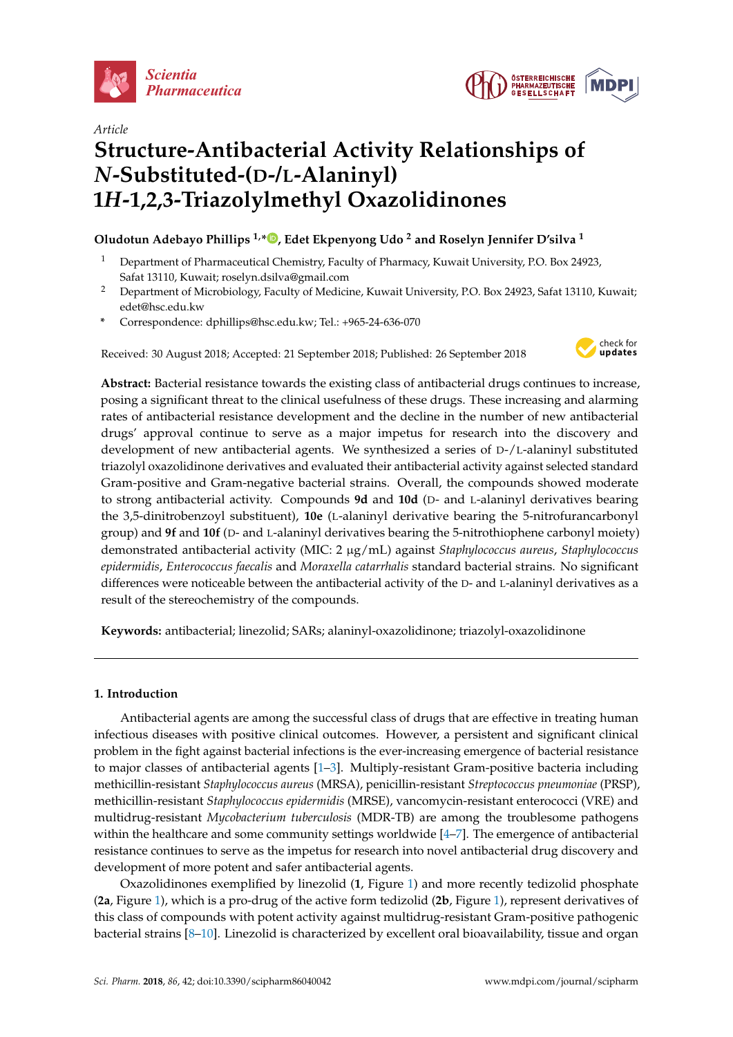



# *Article* **Structure-Antibacterial Activity Relationships of** *N***-Substituted-(D-/L-Alaninyl) 1***H***-1,2,3-Triazolylmethyl Oxazolidinones**

## **Oludotun Adebayo Phillips 1,\* [,](https://orcid.org/0000-0002-8350-7338) Edet Ekpenyong Udo <sup>2</sup> and Roselyn Jennifer D'silva <sup>1</sup>**

- <sup>1</sup> Department of Pharmaceutical Chemistry, Faculty of Pharmacy, Kuwait University, P.O. Box 24923, Safat 13110, Kuwait; roselyn.dsilva@gmail.com
- <sup>2</sup> Department of Microbiology, Faculty of Medicine, Kuwait University, P.O. Box 24923, Safat 13110, Kuwait; edet@hsc.edu.kw
- **\*** Correspondence: dphillips@hsc.edu.kw; Tel.: +965-24-636-070

Received: 30 August 2018; Accepted: 21 September 2018; Published: 26 September 2018



**Abstract:** Bacterial resistance towards the existing class of antibacterial drugs continues to increase, posing a significant threat to the clinical usefulness of these drugs. These increasing and alarming rates of antibacterial resistance development and the decline in the number of new antibacterial drugs' approval continue to serve as a major impetus for research into the discovery and development of new antibacterial agents. We synthesized a series of D-/L-alaninyl substituted triazolyl oxazolidinone derivatives and evaluated their antibacterial activity against selected standard Gram-positive and Gram-negative bacterial strains. Overall, the compounds showed moderate to strong antibacterial activity. Compounds **9d** and **10d** (D- and L-alaninyl derivatives bearing the 3,5-dinitrobenzoyl substituent), **10e** (L-alaninyl derivative bearing the 5-nitrofurancarbonyl group) and **9f** and **10f** (D- and L-alaninyl derivatives bearing the 5-nitrothiophene carbonyl moiety) demonstrated antibacterial activity (MIC: 2 µg/mL) against *Staphylococcus aureus*, *Staphylococcus epidermidis*, *Enterococcus faecalis* and *Moraxella catarrhalis* standard bacterial strains. No significant differences were noticeable between the antibacterial activity of the D- and L-alaninyl derivatives as a result of the stereochemistry of the compounds.

**Keywords:** antibacterial; linezolid; SARs; alaninyl-oxazolidinone; triazolyl-oxazolidinone

## **1. Introduction**

Antibacterial agents are among the successful class of drugs that are effective in treating human infectious diseases with positive clinical outcomes. However, a persistent and significant clinical problem in the fight against bacterial infections is the ever-increasing emergence of bacterial resistance to major classes of antibacterial agents [\[1](#page-17-0)[–3\]](#page-17-1). Multiply-resistant Gram-positive bacteria including methicillin-resistant *Staphylococcus aureus* (MRSA), penicillin-resistant *Streptococcus pneumoniae* (PRSP), methicillin-resistant *Staphylococcus epidermidis* (MRSE), vancomycin-resistant enterococci (VRE) and multidrug-resistant *Mycobacterium tuberculosis* (MDR-TB) are among the troublesome pathogens within the healthcare and some community settings worldwide  $[4-7]$  $[4-7]$ . The emergence of antibacterial resistance continues to serve as the impetus for research into novel antibacterial drug discovery and development of more potent and safer antibacterial agents.

Oxazolidinones exemplified by linezolid (**1**, Figure [1\)](#page-1-0) and more recently tedizolid phosphate (**2a**, Figure [1\)](#page-1-0), which is a pro-drug of the active form tedizolid (**2b**, Figure [1\)](#page-1-0), represent derivatives of this class of compounds with potent activity against multidrug-resistant Gram-positive pathogenic bacterial strains [\[8](#page-18-0)[–10\]](#page-18-1). Linezolid is characterized by excellent oral bioavailability, tissue and organ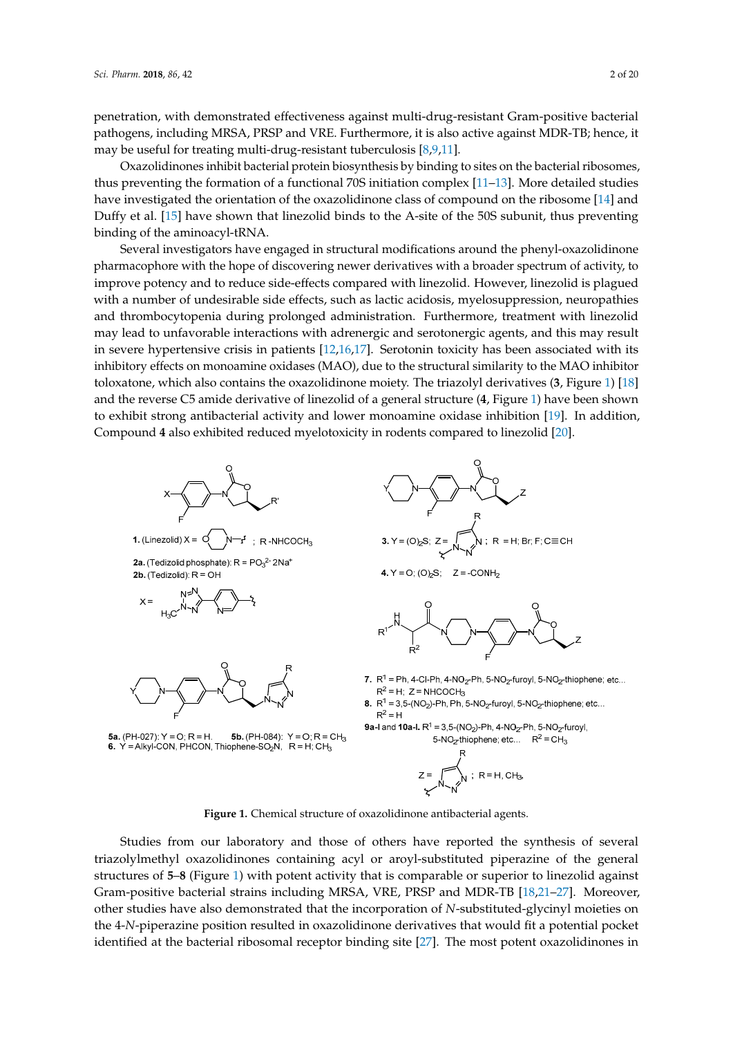penetration, with demonstrated effectiveness against multi-drug-resistant Gram-positive bacterial pathogens, including MRSA, PRSP and VRE. Furthermore, it is also active against MDR-TB; hence, it may be useful for treating multi-drug-resistant tuberculosis [\[8,](#page-18-0)[9,](#page-18-2)[11\]](#page-18-3).

Oxazolidinones inhibit bacterial protein biosynthesis by binding to sites on the bacterial ribosomes, thus preventing the formation of a functional 70S initiation complex [\[11](#page-18-3)[–13\]](#page-18-4). More detailed studies have investigated the orientation of the oxazolidinone class of compound on the ribosome [\[14\]](#page-18-5) and Duffy et al. [\[15\]](#page-18-6) have shown that linezolid binds to the A-site of the 50S subunit, thus preventing binding of the aminoacyl-tRNA.

Several investigators have engaged in structural modifications around the phenyl-oxazolidinone pharmacophore with the hope of discovering newer derivatives with a broader spectrum of activity, to improve potency and to reduce side-effects compared with linezolid. However, linezolid is plagued with a number of undesirable side effects, such as lactic acidosis, myelosuppression, neuropathies and thrombocytopenia during prolonged administration. Furthermore, treatment with linezolid may lead to unfavorable interactions with adrenergic and serotonergic agents, and this may result in severe hypertensive crisis in patients [\[12,](#page-18-7)[16,](#page-18-8)[17\]](#page-18-9). Serotonin toxicity has been associated with its inhibitory effects on monoamine oxidases (MAO), due to the structural similarity to the MAO inhibitor toloxatone, which also contains the oxazolidinone moiety. The triazolyl derivatives (**3**, Figure [1\)](#page-1-0) [\[18\]](#page-18-10) and the reverse C5 amide derivative of linezolid of a general structure (**4**, Figure [1\)](#page-1-0) have been shown to exhibit strong antibacterial activity and lower monoamine oxidase inhibition [\[19\]](#page-18-11). In addition, Compound 4 also exhibited reduced myelotoxicity in rodents compared to linezolid [\[20\]](#page-18-12).

<span id="page-1-0"></span>

**Figure 1.** Chemical structure of oxazolidinone antibacterial agents. **Figure 1.** Chemical structure of oxazolidinone antibacterial agents.

Studies from our laboratory and those of others have reported the synthesis of several **2.1. Characterization is extended to the structures of 5–8** (Figure [1\)](#page-1-0) with potent activity that is comparable or superior to linezolid against Gram-positive bacterial strains including MRSA, VRE, PRSP and MDR-TB [\[18,](#page-18-10)[21](#page-18-13)[–27\]](#page-18-14). Moreover, other studies have also demonstrated that the incorporation of *N*-substituted-glycinyl moieties on the 4-*N*-piperazine position resulted in oxazolidinone derivatives that would fit a potential pocket identified at the bacterial ribosomal receptor binding site [\[27\]](#page-18-14). The most potent oxazolidinones in triazolylmethyl oxazolidinones containing acyl or aroyl-substituted piperazine of the general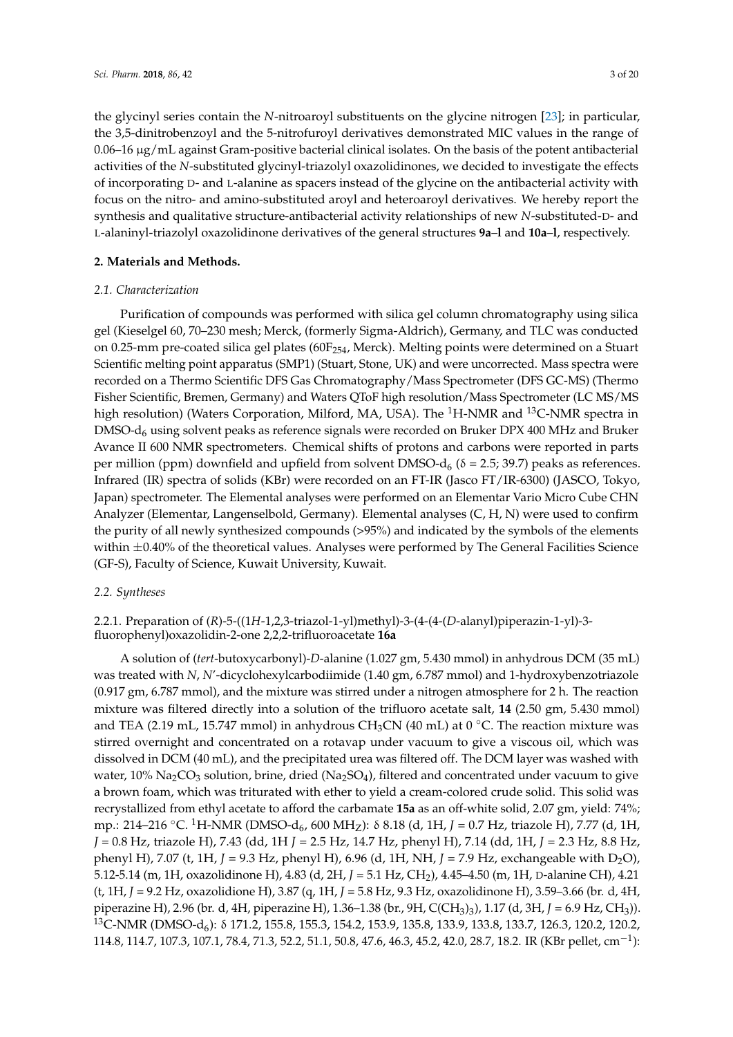the glycinyl series contain the *N*-nitroaroyl substituents on the glycine nitrogen [\[23\]](#page-18-15); in particular, the 3,5-dinitrobenzoyl and the 5-nitrofuroyl derivatives demonstrated MIC values in the range of 0.06–16 µg/mL against Gram-positive bacterial clinical isolates. On the basis of the potent antibacterial activities of the *N*-substituted glycinyl-triazolyl oxazolidinones, we decided to investigate the effects of incorporating D- and L-alanine as spacers instead of the glycine on the antibacterial activity with focus on the nitro- and amino-substituted aroyl and heteroaroyl derivatives. We hereby report the synthesis and qualitative structure-antibacterial activity relationships of new *N*-substituted-D- and L-alaninyl-triazolyl oxazolidinone derivatives of the general structures **9a**–**l** and **10a**–**l**, respectively.

#### **2. Materials and Methods.**

#### *2.1. Characterization*

Purification of compounds was performed with silica gel column chromatography using silica gel (Kieselgel 60, 70–230 mesh; Merck, (formerly Sigma-Aldrich), Germany, and TLC was conducted on 0.25-mm pre-coated silica gel plates ( $60F_{254}$ , Merck). Melting points were determined on a Stuart Scientific melting point apparatus (SMP1) (Stuart, Stone, UK) and were uncorrected. Mass spectra were recorded on a Thermo Scientific DFS Gas Chromatography/Mass Spectrometer (DFS GC-MS) (Thermo Fisher Scientific, Bremen, Germany) and Waters QToF high resolution/Mass Spectrometer (LC MS/MS high resolution) (Waters Corporation, Milford, MA, USA). The  ${}^{1}$ H-NMR and  ${}^{13}$ C-NMR spectra in DMSO- $d_6$  using solvent peaks as reference signals were recorded on Bruker DPX 400 MHz and Bruker Avance II 600 NMR spectrometers. Chemical shifts of protons and carbons were reported in parts per million (ppm) downfield and upfield from solvent DMSO-d<sub>6</sub> ( $\delta$  = 2.5; 39.7) peaks as references. Infrared (IR) spectra of solids (KBr) were recorded on an FT-IR (Jasco FT/IR-6300) (JASCO, Tokyo, Japan) spectrometer. The Elemental analyses were performed on an Elementar Vario Micro Cube CHN Analyzer (Elementar, Langenselbold, Germany). Elemental analyses (C, H, N) were used to confirm the purity of all newly synthesized compounds (>95%) and indicated by the symbols of the elements within  $\pm 0.40\%$  of the theoretical values. Analyses were performed by The General Facilities Science (GF-S), Faculty of Science, Kuwait University, Kuwait.

#### *2.2. Syntheses*

## 2.2.1. Preparation of (*R*)-5-((1*H*-1,2,3-triazol-1-yl)methyl)-3-(4-(4-(*D*-alanyl)piperazin-1-yl)-3 fluorophenyl)oxazolidin-2-one 2,2,2-trifluoroacetate **16a**

A solution of (*tert*-butoxycarbonyl)-*D*-alanine (1.027 gm, 5.430 mmol) in anhydrous DCM (35 mL) was treated with *N*, *N*'-dicyclohexylcarbodiimide (1.40 gm, 6.787 mmol) and 1-hydroxybenzotriazole (0.917 gm, 6.787 mmol), and the mixture was stirred under a nitrogen atmosphere for 2 h. The reaction mixture was filtered directly into a solution of the trifluoro acetate salt, **14** (2.50 gm, 5.430 mmol) and TEA (2.19 mL, 15.747 mmol) in anhydrous CH<sub>3</sub>CN (40 mL) at 0 °C. The reaction mixture was stirred overnight and concentrated on a rotavap under vacuum to give a viscous oil, which was dissolved in DCM (40 mL), and the precipitated urea was filtered off. The DCM layer was washed with water,  $10\%$  Na<sub>2</sub>CO<sub>3</sub> solution, brine, dried (Na<sub>2</sub>SO<sub>4</sub>), filtered and concentrated under vacuum to give a brown foam, which was triturated with ether to yield a cream-colored crude solid. This solid was recrystallized from ethyl acetate to afford the carbamate **15a** as an off-white solid, 2.07 gm, yield: 74%; mp.: 214–216 °C. <sup>1</sup>H-NMR (DMSO-d<sub>6</sub>, 600 MH<sub>Z</sub>): δ 8.18 (d, 1H, *J* = 0.7 Hz, triazole H), 7.77 (d, 1H, *J* = 0.8 Hz, triazole H), 7.43 (dd, 1H *J* = 2.5 Hz, 14.7 Hz, phenyl H), 7.14 (dd, 1H, *J* = 2.3 Hz, 8.8 Hz, phenyl H), 7.07 (t, 1H,  $J = 9.3$  Hz, phenyl H), 6.96 (d, 1H, NH,  $J = 7.9$  Hz, exchangeable with D<sub>2</sub>O), 5.12-5.14 (m, 1H, oxazolidinone H), 4.83 (d, 2H, *J* = 5.1 Hz, CH2), 4.45–4.50 (m, 1H, D-alanine CH), 4.21 (t, 1H, *J* = 9.2 Hz, oxazolidione H), 3.87 (q, 1H, *J* = 5.8 Hz, 9.3 Hz, oxazolidinone H), 3.59–3.66 (br. d, 4H, piperazine H), 2.96 (br. d, 4H, piperazine H), 1.36–1.38 (br., 9H, C(CH3)3), 1.17 (d, 3H, *J* = 6.9 Hz, CH3)). <sup>13</sup>C-NMR (DMSO-d<sub>6</sub>): δ 171.2, 155.8, 155.3, 154.2, 153.9, 135.8, 133.9, 133.8, 133.7, 126.3, 120.2, 120.2, 114.8, 114.7, 107.3, 107.1, 78.4, 71.3, 52.2, 51.1, 50.8, 47.6, 46.3, 45.2, 42.0, 28.7, 18.2. IR (KBr pellet, cm<sup>-1</sup>):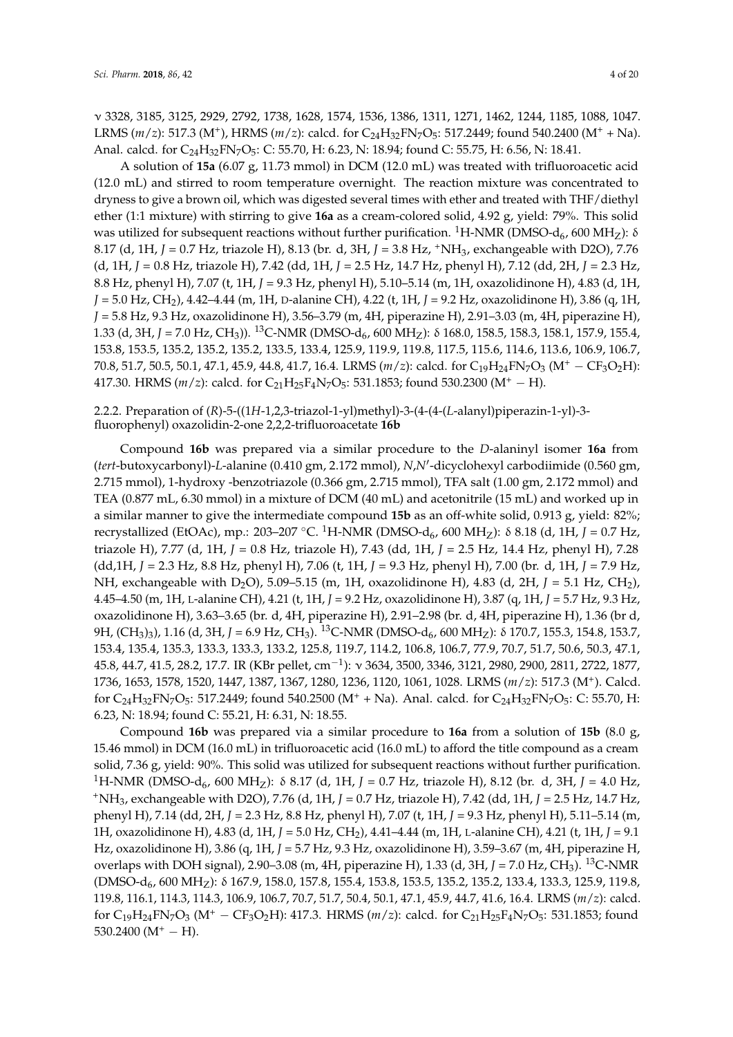ν 3328, 3185, 3125, 2929, 2792, 1738, 1628, 1574, 1536, 1386, 1311, 1271, 1462, 1244, 1185, 1088, 1047. LRMS (*m*/*z*): 517.3 (M<sup>+</sup>), HRMS (*m*/*z*): calcd. for C<sub>24</sub>H<sub>32</sub>FN<sub>7</sub>O<sub>5</sub>: 517.2449; found 540.2400 (M<sup>+</sup> + Na). Anal. calcd. for C<sub>24</sub>H<sub>32</sub>FN<sub>7</sub>O<sub>5</sub>: C: 55.70, H: 6.23, N: 18.94; found C: 55.75, H: 6.56, N: 18.41.

A solution of **15a** (6.07 g, 11.73 mmol) in DCM (12.0 mL) was treated with trifluoroacetic acid (12.0 mL) and stirred to room temperature overnight. The reaction mixture was concentrated to dryness to give a brown oil, which was digested several times with ether and treated with THF/diethyl ether (1:1 mixture) with stirring to give **16a** as a cream-colored solid, 4.92 g, yield: 79%. This solid was utilized for subsequent reactions without further purification. <sup>1</sup>H-NMR (DMSO-d<sub>6</sub>, 600 MH<sub>Z</sub>): δ 8.17 (d, 1H, *J* = 0.7 Hz, triazole H), 8.13 (br. d, 3H, *J* = 3.8 Hz, <sup>+</sup>NH3, exchangeable with D2O), 7.76 (d, 1H, *J* = 0.8 Hz, triazole H), 7.42 (dd, 1H, *J* = 2.5 Hz, 14.7 Hz, phenyl H), 7.12 (dd, 2H, *J* = 2.3 Hz, 8.8 Hz, phenyl H), 7.07 (t, 1H, *J* = 9.3 Hz, phenyl H), 5.10–5.14 (m, 1H, oxazolidinone H), 4.83 (d, 1H, *J* = 5.0 Hz, CH2), 4.42–4.44 (m, 1H, <sup>D</sup>-alanine CH), 4.22 (t, 1H, *J* = 9.2 Hz, oxazolidinone H), 3.86 (q, 1H, *J* = 5.8 Hz, 9.3 Hz, oxazolidinone H), 3.56–3.79 (m, 4H, piperazine H), 2.91–3.03 (m, 4H, piperazine H), 1.33 (d, 3H, *J* = 7.0 Hz, CH<sub>3</sub>)). <sup>13</sup>C-NMR (DMSO-d<sub>6</sub>, 600 MH<sub>Z</sub>): δ 168.0, 158.5, 158.3, 158.1, 157.9, 155.4, 153.8, 153.5, 135.2, 135.2, 135.2, 133.5, 133.4, 125.9, 119.9, 119.8, 117.5, 115.6, 114.6, 113.6, 106.9, 106.7, 70.8, 51.7, 50.5, 50.1, 47.1, 45.9, 44.8, 41.7, 16.4. LRMS (*m*/*z*): calcd. for C<sub>19</sub>H<sub>24</sub>FN<sub>7</sub>O<sub>3</sub> (M<sup>+</sup> − CF<sub>3</sub>O<sub>2</sub>H): 417.30. HRMS  $(m/z)$ : calcd. for C<sub>21</sub>H<sub>25</sub>F<sub>4</sub>N<sub>7</sub>O<sub>5</sub>: 531.1853; found 530.2300 (M<sup>+</sup> – H).

## 2.2.2. Preparation of (*R*)-5-((1*H*-1,2,3-triazol-1-yl)methyl)-3-(4-(4-(*L*-alanyl)piperazin-1-yl)-3 fluorophenyl) oxazolidin-2-one 2,2,2-trifluoroacetate **16b**

Compound **16b** was prepared via a similar procedure to the *D*-alaninyl isomer **16a** from (*tert*-butoxycarbonyl)-L-alanine (0.410 gm, 2.172 mmol), *N,N'*-dicyclohexyl carbodiimide (0.560 gm, 2.715 mmol), 1-hydroxy -benzotriazole (0.366 gm, 2.715 mmol), TFA salt (1.00 gm, 2.172 mmol) and TEA (0.877 mL, 6.30 mmol) in a mixture of DCM (40 mL) and acetonitrile (15 mL) and worked up in a similar manner to give the intermediate compound **15b** as an off-white solid, 0.913 g, yield: 82%; recrystallized (EtOAc), mp.: 203–207 °C. <sup>1</sup>H-NMR (DMSO-d<sub>6</sub>, 600 MH<sub>Z</sub>): δ 8.18 (d, 1H, *J* = 0.7 Hz, triazole H), 7.77 (d, 1H, *J* = 0.8 Hz, triazole H), 7.43 (dd, 1H, *J* = 2.5 Hz, 14.4 Hz, phenyl H), 7.28 (dd,1H, *J* = 2.3 Hz, 8.8 Hz, phenyl H), 7.06 (t, 1H, *J* = 9.3 Hz, phenyl H), 7.00 (br. d, 1H, *J* = 7.9 Hz, NH, exchangeable with D<sub>2</sub>O), 5.09–5.15 (m, 1H, oxazolidinone H), 4.83 (d, 2H, *J* = 5.1 Hz, CH<sub>2</sub>), 4.45–4.50 (m, 1H, L-alanine CH), 4.21 (t, 1H, *J* = 9.2 Hz, oxazolidinone H), 3.87 (q, 1H, *J* = 5.7 Hz, 9.3 Hz, oxazolidinone H), 3.63–3.65 (br. d, 4H, piperazine H), 2.91–2.98 (br. d, 4H, piperazine H), 1.36 (br d, 9H, (CH<sub>3</sub>)<sub>3</sub>), 1.16 (d, 3H, *J* = 6.9 Hz, CH<sub>3</sub>). <sup>13</sup>C-NMR (DMSO-d<sub>6</sub>, 600 MH<sub>Z</sub>): δ 170.7, 155.3, 154.8, 153.7, 153.4, 135.4, 135.3, 133.3, 133.3, 133.2, 125.8, 119.7, 114.2, 106.8, 106.7, 77.9, 70.7, 51.7, 50.6, 50.3, 47.1, 45.8, 44.7, 41.5, 28.2, 17.7. IR (KBr pellet, cm−<sup>1</sup> ): ν 3634, 3500, 3346, 3121, 2980, 2900, 2811, 2722, 1877, 1736, 1653, 1578, 1520, 1447, 1387, 1367, 1280, 1236, 1120, 1061, 1028. LRMS (*m*/*z*): 517.3 (M<sup>+</sup> ). Calcd. for  $C_{24}H_{32}FN_{7}O_{5}$ : 517.2449; found 540.2500 (M<sup>+</sup> + Na). Anal. calcd. for  $C_{24}H_{32}FN_{7}O_{5}$ : C: 55.70, H: 6.23, N: 18.94; found C: 55.21, H: 6.31, N: 18.55.

Compound **16b** was prepared via a similar procedure to **16a** from a solution of **15b** (8.0 g, 15.46 mmol) in DCM (16.0 mL) in trifluoroacetic acid (16.0 mL) to afford the title compound as a cream solid, 7.36 g, yield: 90%. This solid was utilized for subsequent reactions without further purification. <sup>1</sup>H-NMR (DMSO-d<sub>6</sub>, 600 MH<sub>Z</sub>): δ 8.17 (d, 1H, *J* = 0.7 Hz, triazole H), 8.12 (br. d, 3H, *J* = 4.0 Hz, <sup>+</sup>NH3, exchangeable with D2O), 7.76 (d, 1H, *J* = 0.7 Hz, triazole H), 7.42 (dd, 1H, *J* = 2.5 Hz, 14.7 Hz, phenyl H), 7.14 (dd, 2H, *J* = 2.3 Hz, 8.8 Hz, phenyl H), 7.07 (t, 1H, *J* = 9.3 Hz, phenyl H), 5.11–5.14 (m, 1H, oxazolidinone H), 4.83 (d, 1H, *J* = 5.0 Hz, CH2), 4.41–4.44 (m, 1H, L-alanine CH), 4.21 (t, 1H, *J* = 9.1 Hz, oxazolidinone H), 3.86 (q, 1H, *J* = 5.7 Hz, 9.3 Hz, oxazolidinone H), 3.59–3.67 (m, 4H, piperazine H, overlaps with DOH signal), 2.90–3.08 (m, 4H, piperazine H), 1.33 (d, 3H, *J* = 7.0 Hz, CH3). <sup>13</sup>C-NMR (DMSO-d6, 600 MHZ): δ 167.9, 158.0, 157.8, 155.4, 153.8, 153.5, 135.2, 135.2, 133.4, 133.3, 125.9, 119.8, 119.8, 116.1, 114.3, 114.3, 106.9, 106.7, 70.7, 51.7, 50.4, 50.1, 47.1, 45.9, 44.7, 41.6, 16.4. LRMS (*m*/*z*): calcd. for C<sub>19</sub>H<sub>24</sub>FN<sub>7</sub>O<sub>3</sub> (M<sup>+</sup> − CF<sub>3</sub>O<sub>2</sub>H): 417.3. HRMS (*m*/*z*): calcd. for C<sub>21</sub>H<sub>25</sub>F<sub>4</sub>N<sub>7</sub>O<sub>5</sub>: 531.1853; found  $530.2400$  (M<sup>+</sup> – H).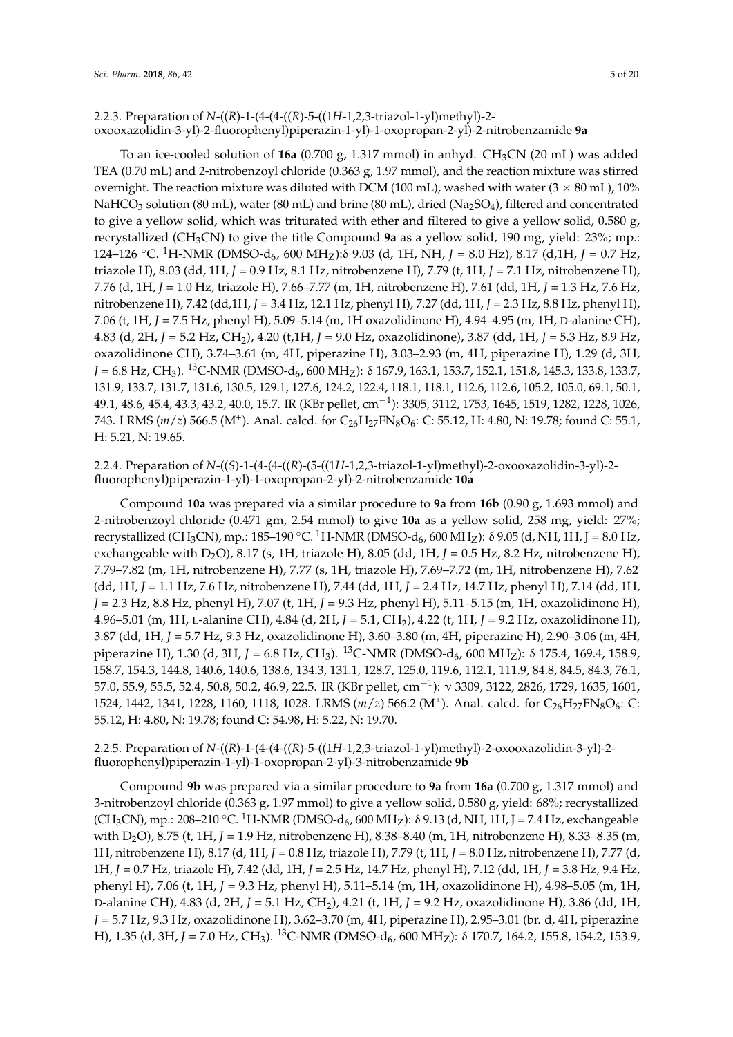## 2.2.3. Preparation of *N*-((*R*)-1-(4-(4-((*R*)-5-((1*H*-1,2,3-triazol-1-yl)methyl)-2 oxooxazolidin-3-yl)-2-fluorophenyl)piperazin-1-yl)-1-oxopropan-2-yl)-2-nitrobenzamide **9a**

To an ice-cooled solution of 16a (0.700 g, 1.317 mmol) in anhyd. CH<sub>3</sub>CN (20 mL) was added TEA (0.70 mL) and 2-nitrobenzoyl chloride (0.363 g, 1.97 mmol), and the reaction mixture was stirred overnight. The reaction mixture was diluted with DCM (100 mL), washed with water ( $3 \times 80$  mL), 10% NaHCO<sub>3</sub> solution (80 mL), water (80 mL) and brine (80 mL), dried (Na<sub>2</sub>SO<sub>4</sub>), filtered and concentrated to give a yellow solid, which was triturated with ether and filtered to give a yellow solid, 0.580 g, recrystallized (CH3CN) to give the title Compound **9a** as a yellow solid, 190 mg, yield: 23%; mp.: 124–126 ◦C. <sup>1</sup>H-NMR (DMSO-d6, 600 MHZ):δ 9.03 (d, 1H, NH, *J* = 8.0 Hz), 8.17 (d,1H, *J* = 0.7 Hz, triazole H), 8.03 (dd, 1H, *J* = 0.9 Hz, 8.1 Hz, nitrobenzene H), 7.79 (t, 1H, *J* = 7.1 Hz, nitrobenzene H), 7.76 (d, 1H, *J* = 1.0 Hz, triazole H), 7.66–7.77 (m, 1H, nitrobenzene H), 7.61 (dd, 1H, *J* = 1.3 Hz, 7.6 Hz, nitrobenzene H), 7.42 (dd,1H, *J* = 3.4 Hz, 12.1 Hz, phenyl H), 7.27 (dd, 1H, *J* = 2.3 Hz, 8.8 Hz, phenyl H), 7.06 (t, 1H, *J* = 7.5 Hz, phenyl H), 5.09–5.14 (m, 1H oxazolidinone H), 4.94–4.95 (m, 1H, D-alanine CH), 4.83 (d, 2H, *J* = 5.2 Hz, CH2), 4.20 (t,1H, *J* = 9.0 Hz, oxazolidinone), 3.87 (dd, 1H, *J* = 5.3 Hz, 8.9 Hz, oxazolidinone CH), 3.74–3.61 (m, 4H, piperazine H), 3.03–2.93 (m, 4H, piperazine H), 1.29 (d, 3H, *J* = 6.8 Hz, CH<sub>3</sub>). <sup>13</sup>C-NMR (DMSO-d<sub>6</sub>, 600 MH<sub>Z</sub>): δ 167.9, 163.1, 153.7, 152.1, 151.8, 145.3, 133.8, 133.7, 131.9, 133.7, 131.7, 131.6, 130.5, 129.1, 127.6, 124.2, 122.4, 118.1, 118.1, 112.6, 112.6, 105.2, 105.0, 69.1, 50.1, 49.1, 48.6, 45.4, 43.3, 43.2, 40.0, 15.7. IR (KBr pellet, cm−<sup>1</sup> ): 3305, 3112, 1753, 1645, 1519, 1282, 1228, 1026, 743. LRMS (*m*/*z*) 566.5 (M<sup>+</sup>). Anal. calcd. for C<sub>26</sub>H<sub>27</sub>FN<sub>8</sub>O<sub>6</sub>: C: 55.12, H: 4.80, N: 19.78; found C: 55.1, H: 5.21, N: 19.65.

2.2.4. Preparation of *N*-((*S*)-1-(4-(4-((*R*)-(5-((1*H*-1,2,3-triazol-1-yl)methyl)-2-oxooxazolidin-3-yl)-2 fluorophenyl)piperazin-1-yl)-1-oxopropan-2-yl)-2-nitrobenzamide **10a**

Compound **10a** was prepared via a similar procedure to **9a** from **16b** (0.90 g, 1.693 mmol) and 2-nitrobenzoyl chloride (0.471 gm, 2.54 mmol) to give **10a** as a yellow solid, 258 mg, yield: 27%; recrystallized (CH<sub>3</sub>CN), mp.: 185–190 °C. <sup>1</sup>H-NMR (DMSO-d<sub>6</sub>, 600 MH<sub>Z</sub>): δ 9.05 (d, NH, 1H, J = 8.0 Hz, exchangeable with D2O), 8.17 (s, 1H, triazole H), 8.05 (dd, 1H, *J* = 0.5 Hz, 8.2 Hz, nitrobenzene H), 7.79–7.82 (m, 1H, nitrobenzene H), 7.77 (s, 1H, triazole H), 7.69–7.72 (m, 1H, nitrobenzene H), 7.62 (dd, 1H, *J* = 1.1 Hz, 7.6 Hz, nitrobenzene H), 7.44 (dd, 1H, *J* = 2.4 Hz, 14.7 Hz, phenyl H), 7.14 (dd, 1H, *J* = 2.3 Hz, 8.8 Hz, phenyl H), 7.07 (t, 1H, *J* = 9.3 Hz, phenyl H), 5.11–5.15 (m, 1H, oxazolidinone H), 4.96–5.01 (m, 1H, L-alanine CH), 4.84 (d, 2H, *J* = 5.1, CH2), 4.22 (t, 1H, *J* = 9.2 Hz, oxazolidinone H), 3.87 (dd, 1H, *J* = 5.7 Hz, 9.3 Hz, oxazolidinone H), 3.60–3.80 (m, 4H, piperazine H), 2.90–3.06 (m, 4H, piperazine H), 1.30 (d, 3H,  $J = 6.8$  Hz, CH<sub>3</sub>). <sup>13</sup>C-NMR (DMSO-d<sub>6</sub>, 600 MH<sub>Z</sub>): δ 175.4, 169.4, 158.9, 158.7, 154.3, 144.8, 140.6, 140.6, 138.6, 134.3, 131.1, 128.7, 125.0, 119.6, 112.1, 111.9, 84.8, 84.5, 84.3, 76.1, 57.0, 55.9, 55.5, 52.4, 50.8, 50.2, 46.9, 22.5. IR (KBr pellet, cm−<sup>1</sup> ): ν 3309, 3122, 2826, 1729, 1635, 1601, 1524, 1442, 1341, 1228, 1160, 1118, 1028. LRMS ( $m/z$ ) 566.2 (M<sup>+</sup>). Anal. calcd. for C<sub>26</sub>H<sub>27</sub>FN<sub>8</sub>O<sub>6</sub>: C: 55.12, H: 4.80, N: 19.78; found C: 54.98, H: 5.22, N: 19.70.

## 2.2.5. Preparation of *N*-((*R*)-1-(4-(4-((*R*)-5-((1*H*-1,2,3-triazol-1-yl)methyl)-2-oxooxazolidin-3-yl)-2 fluorophenyl)piperazin-1-yl)-1-oxopropan-2-yl)-3-nitrobenzamide **9b**

Compound **9b** was prepared via a similar procedure to **9a** from **16a** (0.700 g, 1.317 mmol) and 3-nitrobenzoyl chloride (0.363 g, 1.97 mmol) to give a yellow solid, 0.580 g, yield: 68%; recrystallized (CH<sub>3</sub>CN), mp.: 208–210 °C. <sup>1</sup>H-NMR (DMSO-d<sub>6</sub>, 600 MH<sub>Z</sub>): δ 9.13 (d, NH, 1H, J = 7.4 Hz, exchangeable with D2O), 8.75 (t, 1H, *J* = 1.9 Hz, nitrobenzene H), 8.38–8.40 (m, 1H, nitrobenzene H), 8.33–8.35 (m, 1H, nitrobenzene H), 8.17 (d, 1H, *J* = 0.8 Hz, triazole H), 7.79 (t, 1H, *J* = 8.0 Hz, nitrobenzene H), 7.77 (d, 1H, *J* = 0.7 Hz, triazole H), 7.42 (dd, 1H, *J* = 2.5 Hz, 14.7 Hz, phenyl H), 7.12 (dd, 1H, *J* = 3.8 Hz, 9.4 Hz, phenyl H), 7.06 (t, 1H, *J* = 9.3 Hz, phenyl H), 5.11–5.14 (m, 1H, oxazolidinone H), 4.98–5.05 (m, 1H, D-alanine CH), 4.83 (d, 2H, *J* = 5.1 Hz, CH2), 4.21 (t, 1H, *J* = 9.2 Hz, oxazolidinone H), 3.86 (dd, 1H, *J* = 5.7 Hz, 9.3 Hz, oxazolidinone H), 3.62–3.70 (m, 4H, piperazine H), 2.95–3.01 (br. d, 4H, piperazine H), 1.35 (d, 3H, *J* = 7.0 Hz, CH<sub>3</sub>). <sup>13</sup>C-NMR (DMSO-d<sub>6</sub>, 600 MH<sub>Z</sub>): δ 170.7, 164.2, 155.8, 154.2, 153.9,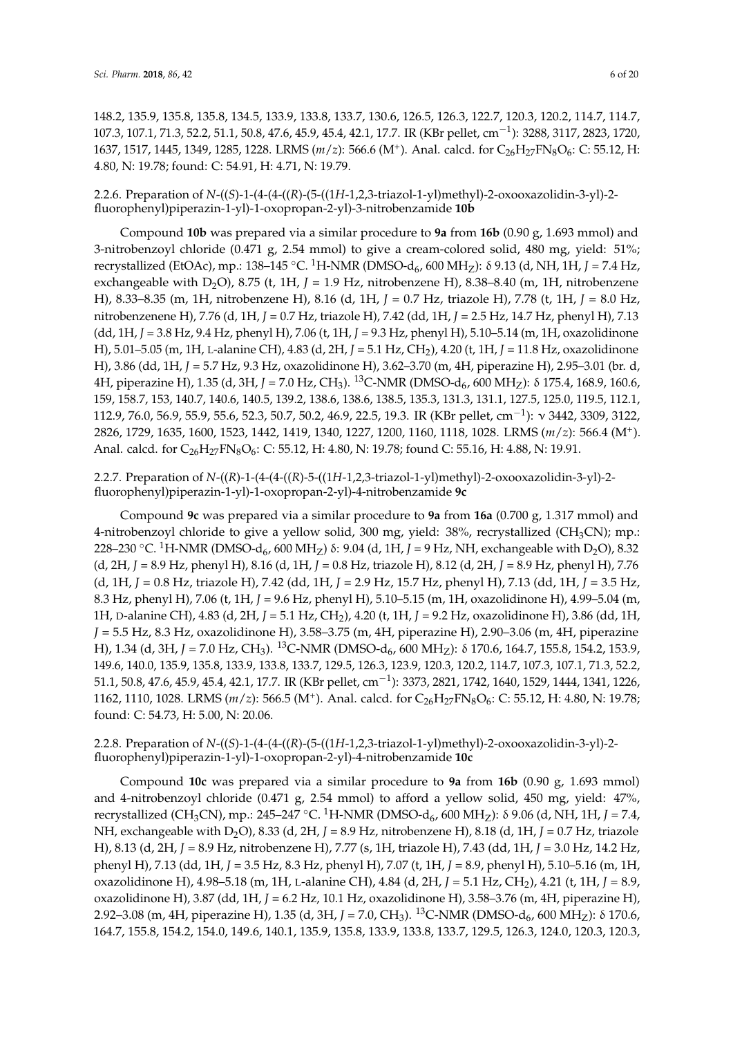148.2, 135.9, 135.8, 135.8, 134.5, 133.9, 133.8, 133.7, 130.6, 126.5, 126.3, 122.7, 120.3, 120.2, 114.7, 114.7, 107.3, 107.1, 71.3, 52.2, 51.1, 50.8, 47.6, 45.9, 45.4, 42.1, 17.7. IR (KBr pellet, cm−<sup>1</sup> ): 3288, 3117, 2823, 1720, 1637, 1517, 1445, 1349, 1285, 1228. LRMS (*m*/*z*): 566.6 (M<sup>+</sup>). Anal. calcd. for C<sub>26</sub>H<sub>27</sub>FN<sub>8</sub>O<sub>6</sub>: C: 55.12, H: 4.80, N: 19.78; found: C: 54.91, H: 4.71, N: 19.79.

## 2.2.6. Preparation of *N*-((*S*)-1-(4-(4-((*R*)-(5-((1*H*-1,2,3-triazol-1-yl)methyl)-2-oxooxazolidin-3-yl)-2 fluorophenyl)piperazin-1-yl)-1-oxopropan-2-yl)-3-nitrobenzamide **10b**

Compound **10b** was prepared via a similar procedure to **9a** from **16b** (0.90 g, 1.693 mmol) and 3-nitrobenzoyl chloride (0.471 g, 2.54 mmol) to give a cream-colored solid, 480 mg, yield: 51%; recrystallized (EtOAc), mp.: 138–145 °C. <sup>1</sup>H-NMR (DMSO-d<sub>6</sub>, 600 MH<sub>Z</sub>): δ 9.13 (d, NH, 1H, *J* = 7.4 Hz, exchangeable with D2O), 8.75 (t, 1H, *J* = 1.9 Hz, nitrobenzene H), 8.38–8.40 (m, 1H, nitrobenzene H), 8.33–8.35 (m, 1H, nitrobenzene H), 8.16 (d, 1H, *J* = 0.7 Hz, triazole H), 7.78 (t, 1H, *J* = 8.0 Hz, nitrobenzenene H), 7.76 (d, 1H, *J* = 0.7 Hz, triazole H), 7.42 (dd, 1H, *J* = 2.5 Hz, 14.7 Hz, phenyl H), 7.13 (dd, 1H, *J* = 3.8 Hz, 9.4 Hz, phenyl H), 7.06 (t, 1H, *J* = 9.3 Hz, phenyl H), 5.10–5.14 (m, 1H, oxazolidinone H), 5.01–5.05 (m, 1H, L-alanine CH), 4.83 (d, 2H, *J* = 5.1 Hz, CH2), 4.20 (t, 1H, *J* = 11.8 Hz, oxazolidinone H), 3.86 (dd, 1H, *J* = 5.7 Hz, 9.3 Hz, oxazolidinone H), 3.62–3.70 (m, 4H, piperazine H), 2.95–3.01 (br. d, 4H, piperazine H), 1.35 (d, 3H, *J* = 7.0 Hz, CH<sub>3</sub>). <sup>13</sup>C-NMR (DMSO-d<sub>6</sub>, 600 MH<sub>Z</sub>): δ 175.4, 168.9, 160.6, 159, 158.7, 153, 140.7, 140.6, 140.5, 139.2, 138.6, 138.6, 138.5, 135.3, 131.3, 131.1, 127.5, 125.0, 119.5, 112.1, 112.9, 76.0, 56.9, 55.9, 55.6, 52.3, 50.7, 50.2, 46.9, 22.5, 19.3. IR (KBr pellet, cm−<sup>1</sup> ): ν 3442, 3309, 3122, 2826, 1729, 1635, 1600, 1523, 1442, 1419, 1340, 1227, 1200, 1160, 1118, 1028. LRMS (*m*/*z*): 566.4 (M<sup>+</sup> ). Anal. calcd. for C<sub>26</sub>H<sub>27</sub>FN<sub>8</sub>O<sub>6</sub>: C: 55.12, H: 4.80, N: 19.78; found C: 55.16, H: 4.88, N: 19.91.

2.2.7. Preparation of *N*-((*R*)-1-(4-(4-((*R*)-5-((1*H*-1,2,3-triazol-1-yl)methyl)-2-oxooxazolidin-3-yl)-2 fluorophenyl)piperazin-1-yl)-1-oxopropan-2-yl)-4-nitrobenzamide **9c**

Compound **9c** was prepared via a similar procedure to **9a** from **16a** (0.700 g, 1.317 mmol) and 4-nitrobenzoyl chloride to give a yellow solid, 300 mg, yield:  $38\%$ , recrystallized (CH<sub>3</sub>CN); mp.: 228–230 °C. <sup>1</sup>H-NMR (DMSO-d<sub>6</sub>, 600 MH<sub>Z</sub>) δ: 9.04 (d, 1H, *J* = 9 Hz, NH, exchangeable with D<sub>2</sub>O), 8.32 (d, 2H, *J* = 8.9 Hz, phenyl H), 8.16 (d, 1H, *J* = 0.8 Hz, triazole H), 8.12 (d, 2H, *J* = 8.9 Hz, phenyl H), 7.76 (d, 1H, *J* = 0.8 Hz, triazole H), 7.42 (dd, 1H, *J* = 2.9 Hz, 15.7 Hz, phenyl H), 7.13 (dd, 1H, *J* = 3.5 Hz, 8.3 Hz, phenyl H), 7.06 (t, 1H, *J* = 9.6 Hz, phenyl H), 5.10–5.15 (m, 1H, oxazolidinone H), 4.99–5.04 (m, 1H, D-alanine CH), 4.83 (d, 2H, *J* = 5.1 Hz, CH2), 4.20 (t, 1H, *J* = 9.2 Hz, oxazolidinone H), 3.86 (dd, 1H, *J* = 5.5 Hz, 8.3 Hz, oxazolidinone H), 3.58–3.75 (m, 4H, piperazine H), 2.90–3.06 (m, 4H, piperazine H), 1.34 (d, 3H, *J* = 7.0 Hz, CH<sub>3</sub>). <sup>13</sup>C-NMR (DMSO-d<sub>6</sub>, 600 MH<sub>Z</sub>): δ 170.6, 164.7, 155.8, 154.2, 153.9, 149.6, 140.0, 135.9, 135.8, 133.9, 133.8, 133.7, 129.5, 126.3, 123.9, 120.3, 120.2, 114.7, 107.3, 107.1, 71.3, 52.2, 51.1, 50.8, 47.6, 45.9, 45.4, 42.1, 17.7. IR (KBr pellet, cm−<sup>1</sup> ): 3373, 2821, 1742, 1640, 1529, 1444, 1341, 1226, 1162, 1110, 1028. LRMS (*m*/*z*): 566.5 (M<sup>+</sup>). Anal. calcd. for C<sub>26</sub>H<sub>27</sub>FN<sub>8</sub>O<sub>6</sub>: C: 55.12, H: 4.80, N: 19.78; found: C: 54.73, H: 5.00, N: 20.06.

2.2.8. Preparation of *N*-((*S*)-1-(4-(4-((*R*)-(5-((1*H*-1,2,3-triazol-1-yl)methyl)-2-oxooxazolidin-3-yl)-2 fluorophenyl)piperazin-1-yl)-1-oxopropan-2-yl)-4-nitrobenzamide **10c**

Compound **10c** was prepared via a similar procedure to **9a** from **16b** (0.90 g, 1.693 mmol) and 4-nitrobenzoyl chloride (0.471 g, 2.54 mmol) to afford a yellow solid, 450 mg, yield: 47%, recrystallized (CH3CN), mp.: 245–247 ◦C. <sup>1</sup>H-NMR (DMSO-d6, 600 MHZ): δ 9.06 (d, NH, 1H, *J* = 7.4, NH, exchangeable with D<sub>2</sub>O), 8.33 (d, 2H, *J* = 8.9 Hz, nitrobenzene H), 8.18 (d, 1H, *J* = 0.7 Hz, triazole H), 8.13 (d, 2H, *J* = 8.9 Hz, nitrobenzene H), 7.77 (s, 1H, triazole H), 7.43 (dd, 1H, *J* = 3.0 Hz, 14.2 Hz, phenyl H), 7.13 (dd, 1H, *J* = 3.5 Hz, 8.3 Hz, phenyl H), 7.07 (t, 1H, *J* = 8.9, phenyl H), 5.10–5.16 (m, 1H, oxazolidinone H), 4.98–5.18 (m, 1H, L-alanine CH), 4.84 (d, 2H, *J* = 5.1 Hz, CH2), 4.21 (t, 1H, *J* = 8.9, oxazolidinone H), 3.87 (dd, 1H, *J* = 6.2 Hz, 10.1 Hz, oxazolidinone H), 3.58–3.76 (m, 4H, piperazine H), 2.92–3.08 (m, 4H, piperazine H), 1.35 (d, 3H, *J* = 7.0, CH<sub>3</sub>). <sup>13</sup>C-NMR (DMSO-d<sub>6</sub>, 600 MH<sub>Z</sub>): δ 170.6, 164.7, 155.8, 154.2, 154.0, 149.6, 140.1, 135.9, 135.8, 133.9, 133.8, 133.7, 129.5, 126.3, 124.0, 120.3, 120.3,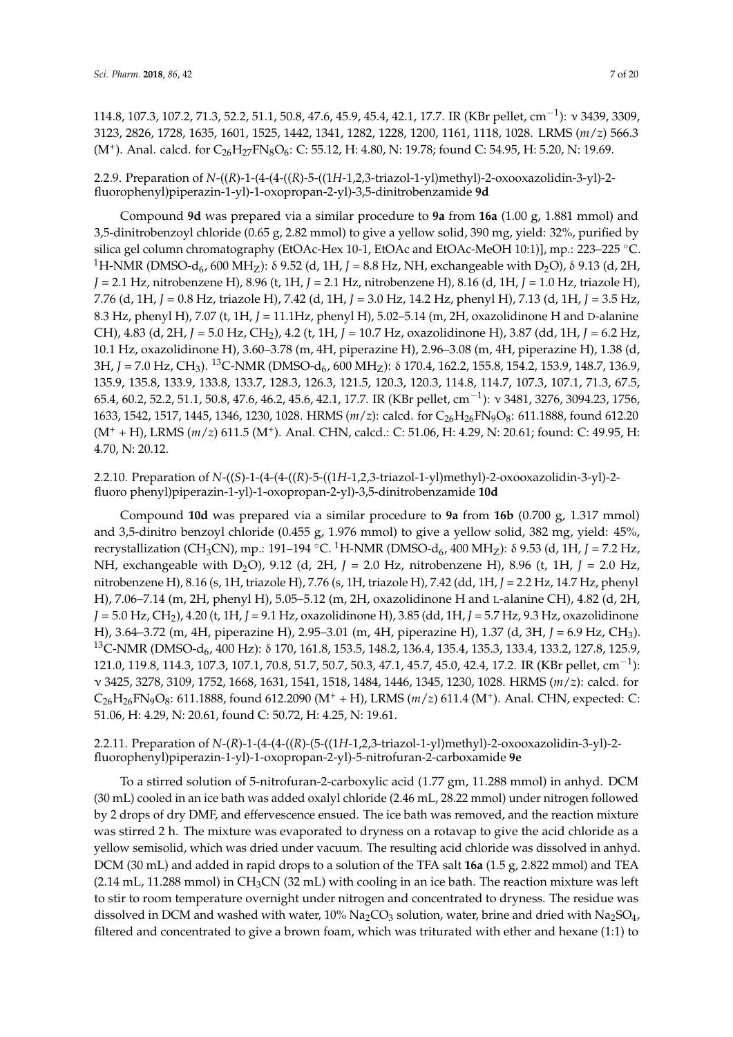114.8, 107.3, 107.2, 71.3, 52.2, 51.1, 50.8, 47.6, 45.9, 45.4, 42.1, 17.7. IR (KBr pellet, cm−<sup>1</sup> ): ν 3439, 3309, 3123, 2826, 1728, 1635, 1601, 1525, 1442, 1341, 1282, 1228, 1200, 1161, 1118, 1028. LRMS (*m*/*z*) 566.3 (M<sup>+</sup>). Anal. calcd. for  $C_{26}H_{27}FN_8O_6$ : C: 55.12, H: 4.80, N: 19.78; found C: 54.95, H: 5.20, N: 19.69.

2.2.9. Preparation of *N*-((*R*)-1-(4-(4-((*R*)-5-((1*H*-1,2,3-triazol-1-yl)methyl)-2-oxooxazolidin-3-yl)-2 fluorophenyl)piperazin-1-yl)-1-oxopropan-2-yl)-3,5-dinitrobenzamide **9d**

Compound **9d** was prepared via a similar procedure to **9a** from **16a** (1.00 g, 1.881 mmol) and 3,5-dinitrobenzoyl chloride (0.65 g, 2.82 mmol) to give a yellow solid, 390 mg, yield: 32%, purified by silica gel column chromatography (EtOAc-Hex 10-1, EtOAc and EtOAc-MeOH 10:1)], mp.: 223–225 ◦C. <sup>1</sup>H-NMR (DMSO-d<sub>6</sub>, 600 MH<sub>Z</sub>): δ 9.52 (d, 1H, *J* = 8.8 Hz, NH, exchangeable with D<sub>2</sub>O), δ 9.13 (d, 2H, *J* = 2.1 Hz, nitrobenzene H), 8.96 (t, 1H, *J* = 2.1 Hz, nitrobenzene H), 8.16 (d, 1H, *J* = 1.0 Hz, triazole H), 7.76 (d, 1H, *J* = 0.8 Hz, triazole H), 7.42 (d, 1H, *J* = 3.0 Hz, 14.2 Hz, phenyl H), 7.13 (d, 1H, *J* = 3.5 Hz, 8.3 Hz, phenyl H), 7.07 (t, 1H, *J* = 11.1Hz, phenyl H), 5.02–5.14 (m, 2H, oxazolidinone H and D-alanine CH), 4.83 (d, 2H, *J* = 5.0 Hz, CH2), 4.2 (t, 1H, *J* = 10.7 Hz, oxazolidinone H), 3.87 (dd, 1H, *J* = 6.2 Hz, 10.1 Hz, oxazolidinone H), 3.60–3.78 (m, 4H, piperazine H), 2.96–3.08 (m, 4H, piperazine H), 1.38 (d, 3H, *J* = 7.0 Hz, CH<sub>3</sub>). <sup>13</sup>C-NMR (DMSO-d<sub>6</sub>, 600 MH<sub>Z</sub>): δ 170.4, 162.2, 155.8, 154.2, 153.9, 148.7, 136.9, 135.9, 135.8, 133.9, 133.8, 133.7, 128.3, 126.3, 121.5, 120.3, 120.3, 114.8, 114.7, 107.3, 107.1, 71.3, 67.5, 65.4, 60.2, 52.2, 51.1, 50.8, 47.6, 46.2, 45.6, 42.1, 17.7. IR (KBr pellet, cm−<sup>1</sup> ): ν 3481, 3276, 3094.23, 1756, 1633, 1542, 1517, 1445, 1346, 1230, 1028. HRMS (*m*/*z*): calcd. for C26H26FN9O8: 611.1888, found 612.20 (M<sup>+</sup> + H), LRMS ( $m/z$ ) 611.5 (M<sup>+</sup>). Anal. CHN, calcd.: C: 51.06, H: 4.29, N: 20.61; found: C: 49.95, H: 4.70, N: 20.12.

2.2.10. Preparation of *N*-((*S*)-1-(4-(4-((*R*)-5-((1*H*-1,2,3-triazol-1-yl)methyl)-2-oxooxazolidin-3-yl)-2 fluoro phenyl)piperazin-1-yl)-1-oxopropan-2-yl)-3,5-dinitrobenzamide **10d**

Compound **10d** was prepared via a similar procedure to **9a** from **16b** (0.700 g, 1.317 mmol) and 3,5-dinitro benzoyl chloride (0.455 g, 1.976 mmol) to give a yellow solid, 382 mg, yield: 45%, recrystallization (CH3CN), mp.: 191–194 ◦C. <sup>1</sup>H-NMR (DMSO-d6, 400 MHZ): δ 9.53 (d, 1H, *J* = 7.2 Hz, NH, exchangeable with D<sub>2</sub>O), 9.12 (d, 2H, *J* = 2.0 Hz, nitrobenzene H), 8.96 (t, 1H, *J* = 2.0 Hz, nitrobenzene H), 8.16 (s, 1H, triazole H), 7.76 (s, 1H, triazole H), 7.42 (dd, 1H, *J* = 2.2 Hz, 14.7 Hz, phenyl H), 7.06–7.14 (m, 2H, phenyl H), 5.05–5.12 (m, 2H, oxazolidinone H and L-alanine CH), 4.82 (d, 2H, *J* = 5.0 Hz, CH2), 4.20 (t, 1H, *J* = 9.1 Hz, oxazolidinone H), 3.85 (dd, 1H, *J* = 5.7 Hz, 9.3 Hz, oxazolidinone H), 3.64–3.72 (m, 4H, piperazine H), 2.95–3.01 (m, 4H, piperazine H), 1.37 (d, 3H, *J* = 6.9 Hz, CH3). <sup>13</sup>C-NMR (DMSO-d<sub>6</sub>, 400 Hz): δ 170, 161.8, 153.5, 148.2, 136.4, 135.4, 135.3, 133.4, 133.2, 127.8, 125.9, 121.0, 119.8, 114.3, 107.3, 107.1, 70.8, 51.7, 50.7, 50.3, 47.1, 45.7, 45.0, 42.4, 17.2. IR (KBr pellet, cm<sup>-1</sup>): ν 3425, 3278, 3109, 1752, 1668, 1631, 1541, 1518, 1484, 1446, 1345, 1230, 1028. HRMS (*m*/*z*): calcd. for C26H26FN9O8: 611.1888, found 612.2090 (M<sup>+</sup> + H), LRMS (*m*/*z*) 611.4 (M<sup>+</sup> ). Anal. CHN, expected: C: 51.06, H: 4.29, N: 20.61, found C: 50.72, H: 4.25, N: 19.61.

## 2.2.11. Preparation of *N*-(*R*)-1-(4-(4-((*R*)-(5-((1*H*-1,2,3-triazol-1-yl)methyl)-2-oxooxazolidin-3-yl)-2 fluorophenyl)piperazin-1-yl)-1-oxopropan-2-yl)-5-nitrofuran-2-carboxamide **9e**

To a stirred solution of 5-nitrofuran-2-carboxylic acid (1.77 gm, 11.288 mmol) in anhyd. DCM (30 mL) cooled in an ice bath was added oxalyl chloride (2.46 mL, 28.22 mmol) under nitrogen followed by 2 drops of dry DMF, and effervescence ensued. The ice bath was removed, and the reaction mixture was stirred 2 h. The mixture was evaporated to dryness on a rotavap to give the acid chloride as a yellow semisolid, which was dried under vacuum. The resulting acid chloride was dissolved in anhyd. DCM (30 mL) and added in rapid drops to a solution of the TFA salt **16a** (1.5 g, 2.822 mmol) and TEA  $(2.14 \text{ mL}, 11.288 \text{ mmol})$  in CH<sub>3</sub>CN (32 mL) with cooling in an ice bath. The reaction mixture was left to stir to room temperature overnight under nitrogen and concentrated to dryness. The residue was dissolved in DCM and washed with water,  $10\%$  Na<sub>2</sub>CO<sub>3</sub> solution, water, brine and dried with Na<sub>2</sub>SO<sub>4</sub>, filtered and concentrated to give a brown foam, which was triturated with ether and hexane (1:1) to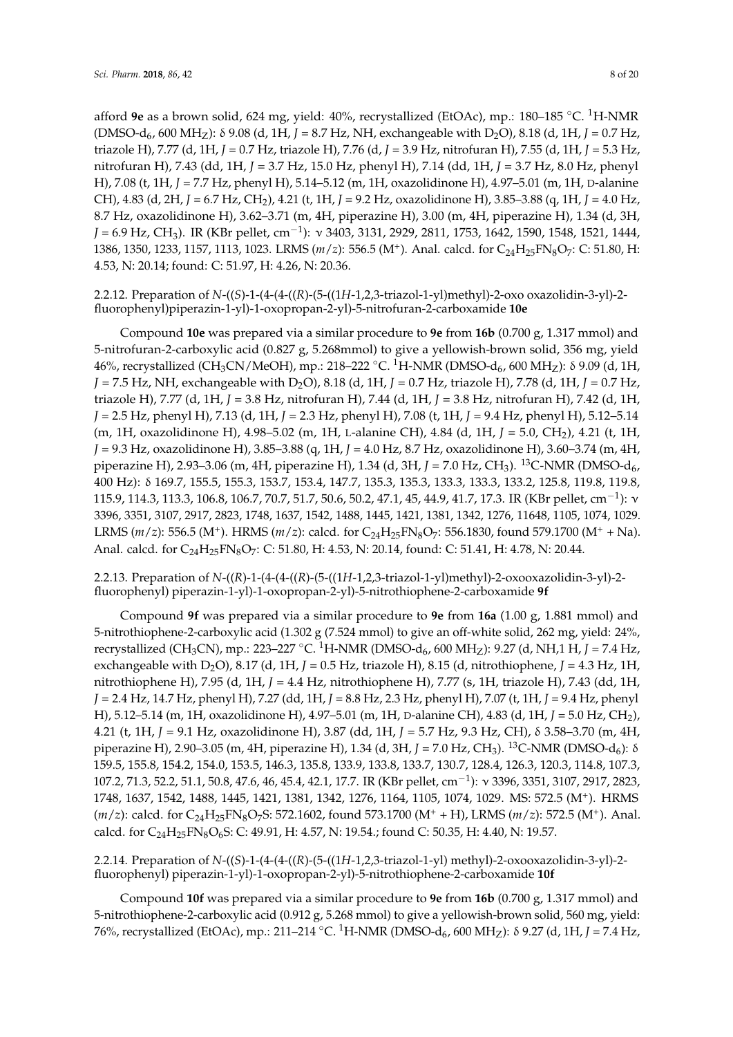afford **9e** as a brown solid, 624 mg, yield: 40%, recrystallized (EtOAc), mp.: 180–185 ◦C. <sup>1</sup>H-NMR (DMSO-d6, 600 MHZ): δ 9.08 (d, 1H, *J* = 8.7 Hz, NH, exchangeable with D2O), 8.18 (d, 1H, *J* = 0.7 Hz, triazole H), 7.77 (d, 1H, *J* = 0.7 Hz, triazole H), 7.76 (d, *J* = 3.9 Hz, nitrofuran H), 7.55 (d, 1H, *J* = 5.3 Hz, nitrofuran H), 7.43 (dd, 1H, *J* = 3.7 Hz, 15.0 Hz, phenyl H), 7.14 (dd, 1H, *J* = 3.7 Hz, 8.0 Hz, phenyl H), 7.08 (t, 1H, *J* = 7.7 Hz, phenyl H), 5.14–5.12 (m, 1H, oxazolidinone H), 4.97–5.01 (m, 1H, D-alanine CH), 4.83 (d, 2H, *J* = 6.7 Hz, CH2), 4.21 (t, 1H, *J* = 9.2 Hz, oxazolidinone H), 3.85–3.88 (q, 1H, *J* = 4.0 Hz, 8.7 Hz, oxazolidinone H), 3.62–3.71 (m, 4H, piperazine H), 3.00 (m, 4H, piperazine H), 1.34 (d, 3H, *J* = 6.9 Hz, CH3). IR (KBr pellet, cm−<sup>1</sup> ): ν 3403, 3131, 2929, 2811, 1753, 1642, 1590, 1548, 1521, 1444, 1386, 1350, 1233, 1157, 1113, 1023. LRMS (*m*/*z*): 556.5 (M<sup>+</sup>). Anal. calcd. for C<sub>24</sub>H<sub>25</sub>FN<sub>8</sub>O<sub>7</sub>: C: 51.80, H: 4.53, N: 20.14; found: C: 51.97, H: 4.26, N: 20.36.

2.2.12. Preparation of *N*-((*S*)-1-(4-(4-((*R*)-(5-((1*H*-1,2,3-triazol-1-yl)methyl)-2-oxo oxazolidin-3-yl)-2 fluorophenyl)piperazin-1-yl)-1-oxopropan-2-yl)-5-nitrofuran-2-carboxamide **10e**

Compound **10e** was prepared via a similar procedure to **9e** from **16b** (0.700 g, 1.317 mmol) and 5-nitrofuran-2-carboxylic acid (0.827 g, 5.268mmol) to give a yellowish-brown solid, 356 mg, yield 46%, recrystallized (CH<sub>3</sub>CN/MeOH), mp.: 218–222 °C. <sup>1</sup>H-NMR (DMSO-d<sub>6</sub>, 600 MH<sub>Z</sub>): δ 9.09 (d, 1H, *J* = 7.5 Hz, NH, exchangeable with D<sub>2</sub>O), 8.18 (d, 1H, *J* = 0.7 Hz, triazole H), 7.78 (d, 1H, *J* = 0.7 Hz, triazole H), 7.77 (d, 1H, *J* = 3.8 Hz, nitrofuran H), 7.44 (d, 1H, *J* = 3.8 Hz, nitrofuran H), 7.42 (d, 1H, *J* = 2.5 Hz, phenyl H), 7.13 (d, 1H, *J* = 2.3 Hz, phenyl H), 7.08 (t, 1H, *J* = 9.4 Hz, phenyl H), 5.12–5.14 (m, 1H, oxazolidinone H), 4.98–5.02 (m, 1H, L-alanine CH), 4.84 (d, 1H, *J* = 5.0, CH2), 4.21 (t, 1H, *J* = 9.3 Hz, oxazolidinone H), 3.85–3.88 (q, 1H, *J* = 4.0 Hz, 8.7 Hz, oxazolidinone H), 3.60–3.74 (m, 4H, piperazine H), 2.93–3.06 (m, 4H, piperazine H), 1.34 (d, 3H,  $J = 7.0$  Hz, CH<sub>3</sub>). <sup>13</sup>C-NMR (DMSO-d<sub>6</sub>, 400 Hz): δ 169.7, 155.5, 155.3, 153.7, 153.4, 147.7, 135.3, 135.3, 133.3, 133.3, 133.2, 125.8, 119.8, 119.8, 115.9, 114.3, 113.3, 106.8, 106.7, 70.7, 51.7, 50.6, 50.2, 47.1, 45, 44.9, 41.7, 17.3. IR (KBr pellet, cm<sup>−1</sup>): v 3396, 3351, 3107, 2917, 2823, 1748, 1637, 1542, 1488, 1445, 1421, 1381, 1342, 1276, 11648, 1105, 1074, 1029. LRMS (*m*/*z*): 556.5 (M<sup>+</sup>). HRMS (*m*/*z*): calcd. for C<sub>24</sub>H<sub>25</sub>FN<sub>8</sub>O<sub>7</sub>: 556.1830, found 579.1700 (M<sup>+</sup> + Na). Anal. calcd. for C<sub>24</sub>H<sub>25</sub>FN<sub>8</sub>O<sub>7</sub>: C: 51.80, H: 4.53, N: 20.14, found: C: 51.41, H: 4.78, N: 20.44.

2.2.13. Preparation of *N*-((*R*)-1-(4-(4-((*R*)-(5-((1*H*-1,2,3-triazol-1-yl)methyl)-2-oxooxazolidin-3-yl)-2 fluorophenyl) piperazin-1-yl)-1-oxopropan-2-yl)-5-nitrothiophene-2-carboxamide **9f**

Compound **9f** was prepared via a similar procedure to **9e** from **16a** (1.00 g, 1.881 mmol) and 5-nitrothiophene-2-carboxylic acid (1.302 g (7.524 mmol) to give an off-white solid, 262 mg, yield: 24%, recrystallized (CH<sub>3</sub>CN), mp.: 223–227 °C. <sup>1</sup>H-NMR (DMSO-d<sub>6</sub>, 600 MH<sub>Z</sub>): 9.27 (d, NH,1 H, *J* = 7.4 Hz, exchangeable with D2O), 8.17 (d, 1H, *J* = 0.5 Hz, triazole H), 8.15 (d, nitrothiophene, *J* = 4.3 Hz, 1H, nitrothiophene H), 7.95 (d, 1H, *J* = 4.4 Hz, nitrothiophene H), 7.77 (s, 1H, triazole H), 7.43 (dd, 1H, *J* = 2.4 Hz, 14.7 Hz, phenyl H), 7.27 (dd, 1H, *J* = 8.8 Hz, 2.3 Hz, phenyl H), 7.07 (t, 1H, *J* = 9.4 Hz, phenyl H), 5.12–5.14 (m, 1H, oxazolidinone H), 4.97–5.01 (m, 1H, D-alanine CH), 4.83 (d, 1H, *J* = 5.0 Hz, CH2), 4.21 (t, 1H, *J* = 9.1 Hz, oxazolidinone H), 3.87 (dd, 1H, *J* = 5.7 Hz, 9.3 Hz, CH), δ 3.58–3.70 (m, 4H, piperazine H), 2.90–3.05 (m, 4H, piperazine H), 1.34 (d, 3H, *J* = 7.0 Hz, CH<sub>3</sub>). <sup>13</sup>C-NMR (DMSO-d<sub>6</sub>): δ 159.5, 155.8, 154.2, 154.0, 153.5, 146.3, 135.8, 133.9, 133.8, 133.7, 130.7, 128.4, 126.3, 120.3, 114.8, 107.3, 107.2, 71.3, 52.2, 51.1, 50.8, 47.6, 46, 45.4, 42.1, 17.7. IR (KBr pellet, cm−<sup>1</sup> ): ν 3396, 3351, 3107, 2917, 2823, 1748, 1637, 1542, 1488, 1445, 1421, 1381, 1342, 1276, 1164, 1105, 1074, 1029. MS: 572.5 (M<sup>+</sup> ). HRMS (*m*/*z*): calcd. for C<sub>24</sub>H<sub>25</sub>FN<sub>8</sub>O<sub>7</sub>S: 572.1602, found 573.1700 (M<sup>+</sup> + H), LRMS (*m*/*z*): 572.5 (M<sup>+</sup>). Anal. calcd. for C24H25FN8O6S: C: 49.91, H: 4.57, N: 19.54.; found C: 50.35, H: 4.40, N: 19.57.

2.2.14. Preparation of *N*-((*S*)-1-(4-(4-((*R*)-(5-((1*H*-1,2,3-triazol-1-yl) methyl)-2-oxooxazolidin-3-yl)-2 fluorophenyl) piperazin-1-yl)-1-oxopropan-2-yl)-5-nitrothiophene-2-carboxamide **10f**

Compound **10f** was prepared via a similar procedure to **9e** from **16b** (0.700 g, 1.317 mmol) and 5-nitrothiophene-2-carboxylic acid (0.912 g, 5.268 mmol) to give a yellowish-brown solid, 560 mg, yield: 76%, recrystallized (EtOAc), mp.: 211–214 ◦C. <sup>1</sup>H-NMR (DMSO-d6, 600 MHZ): δ 9.27 (d, 1H, *J* = 7.4 Hz,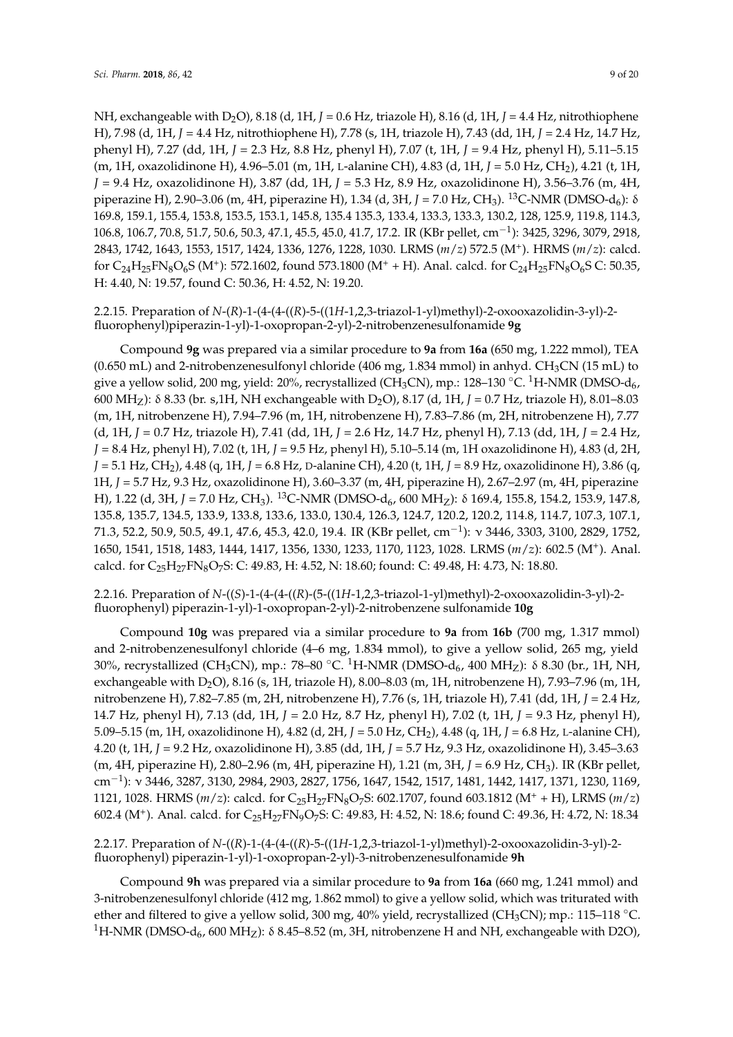NH, exchangeable with D<sub>2</sub>O), 8.18 (d, 1H,  $J = 0.6$  Hz, triazole H), 8.16 (d, 1H,  $J = 4.4$  Hz, nitrothiophene H), 7.98 (d, 1H, *J* = 4.4 Hz, nitrothiophene H), 7.78 (s, 1H, triazole H), 7.43 (dd, 1H, *J* = 2.4 Hz, 14.7 Hz, phenyl H), 7.27 (dd, 1H, *J* = 2.3 Hz, 8.8 Hz, phenyl H), 7.07 (t, 1H, *J* = 9.4 Hz, phenyl H), 5.11–5.15 (m, 1H, oxazolidinone H), 4.96–5.01 (m, 1H, L-alanine CH), 4.83 (d, 1H, *J* = 5.0 Hz, CH2), 4.21 (t, 1H, *J* = 9.4 Hz, oxazolidinone H), 3.87 (dd, 1H, *J* = 5.3 Hz, 8.9 Hz, oxazolidinone H), 3.56–3.76 (m, 4H, piperazine H), 2.90–3.06 (m, 4H, piperazine H), 1.34 (d, 3H, *J* = 7.0 Hz, CH<sub>3</sub>). <sup>13</sup>C-NMR (DMSO-d<sub>6</sub>): δ 169.8, 159.1, 155.4, 153.8, 153.5, 153.1, 145.8, 135.4 135.3, 133.4, 133.3, 133.3, 130.2, 128, 125.9, 119.8, 114.3, 106.8, 106.7, 70.8, 51.7, 50.6, 50.3, 47.1, 45.5, 45.0, 41.7, 17.2. IR (KBr pellet, cm−<sup>1</sup> ): 3425, 3296, 3079, 2918, 2843, 1742, 1643, 1553, 1517, 1424, 1336, 1276, 1228, 1030. LRMS (*m*/*z*) 572.5 (M<sup>+</sup> ). HRMS (*m*/*z*): calcd. for  $C_{24}H_{25}FN_8O_6S$  (M<sup>+</sup>): 572.1602, found 573.1800 (M<sup>+</sup> + H). Anal. calcd. for  $C_{24}H_{25}FN_8O_6S$  C: 50.35, H: 4.40, N: 19.57, found C: 50.36, H: 4.52, N: 19.20.

2.2.15. Preparation of *N*-(*R*)-1-(4-(4-((*R*)-5-((1*H*-1,2,3-triazol-1-yl)methyl)-2-oxooxazolidin-3-yl)-2 fluorophenyl)piperazin-1-yl)-1-oxopropan-2-yl)-2-nitrobenzenesulfonamide **9g**

Compound **9g** was prepared via a similar procedure to **9a** from **16a** (650 mg, 1.222 mmol), TEA  $(0.650 \text{ mL})$  and 2-nitrobenzenesulfonyl chloride (406 mg, 1.834 mmol) in anhyd. CH<sub>3</sub>CN (15 mL) to give a yellow solid, 200 mg, yield: 20%, recrystallized (CH<sub>3</sub>CN), mp.: 128–130 °C. <sup>1</sup>H-NMR (DMSO-d<sub>6</sub>, 600 MHZ): δ 8.33 (br. s,1H, NH exchangeable with D2O), 8.17 (d, 1H, *J* = 0.7 Hz, triazole H), 8.01–8.03 (m, 1H, nitrobenzene H), 7.94–7.96 (m, 1H, nitrobenzene H), 7.83–7.86 (m, 2H, nitrobenzene H), 7.77 (d, 1H, *J* = 0.7 Hz, triazole H), 7.41 (dd, 1H, *J* = 2.6 Hz, 14.7 Hz, phenyl H), 7.13 (dd, 1H, *J* = 2.4 Hz, *J* = 8.4 Hz, phenyl H), 7.02 (t, 1H, *J* = 9.5 Hz, phenyl H), 5.10–5.14 (m, 1H oxazolidinone H), 4.83 (d, 2H, *J* = 5.1 Hz, CH2), 4.48 (q, 1H, *J* = 6.8 Hz, D-alanine CH), 4.20 (t, 1H, *J* = 8.9 Hz, oxazolidinone H), 3.86 (q, 1H, *J* = 5.7 Hz, 9.3 Hz, oxazolidinone H), 3.60–3.37 (m, 4H, piperazine H), 2.67–2.97 (m, 4H, piperazine H), 1.22 (d, 3H, *J* = 7.0 Hz, CH<sub>3</sub>). <sup>13</sup>C-NMR (DMSO-d<sub>6</sub>, 600 MH<sub>Z</sub>): δ 169.4, 155.8, 154.2, 153.9, 147.8, 135.8, 135.7, 134.5, 133.9, 133.8, 133.6, 133.0, 130.4, 126.3, 124.7, 120.2, 120.2, 114.8, 114.7, 107.3, 107.1, 71.3, 52.2, 50.9, 50.5, 49.1, 47.6, 45.3, 42.0, 19.4. IR (KBr pellet, cm−<sup>1</sup> ): ν 3446, 3303, 3100, 2829, 1752, 1650, 1541, 1518, 1483, 1444, 1417, 1356, 1330, 1233, 1170, 1123, 1028. LRMS (*m*/*z*): 602.5 (M<sup>+</sup> ). Anal. calcd. for  $C_{25}H_{27}FN_8O_7S$ : C: 49.83, H: 4.52, N: 18.60; found: C: 49.48, H: 4.73, N: 18.80.

2.2.16. Preparation of *N*-((*S*)-1-(4-(4-((*R*)-(5-((1*H*-1,2,3-triazol-1-yl)methyl)-2-oxooxazolidin-3-yl)-2 fluorophenyl) piperazin-1-yl)-1-oxopropan-2-yl)-2-nitrobenzene sulfonamide **10g**

Compound **10g** was prepared via a similar procedure to **9a** from **16b** (700 mg, 1.317 mmol) and 2-nitrobenzenesulfonyl chloride (4–6 mg, 1.834 mmol), to give a yellow solid, 265 mg, yield 30%, recrystallized (CH<sub>3</sub>CN), mp.: 78–80 °C. <sup>1</sup>H-NMR (DMSO-d<sub>6</sub>, 400 MH<sub>Z</sub>): δ 8.30 (br., 1H, NH, exchangeable with D<sub>2</sub>O), 8.16 (s, 1H, triazole H), 8.00–8.03 (m, 1H, nitrobenzene H), 7.93–7.96 (m, 1H, nitrobenzene H), 7.82–7.85 (m, 2H, nitrobenzene H), 7.76 (s, 1H, triazole H), 7.41 (dd, 1H, *J* = 2.4 Hz, 14.7 Hz, phenyl H), 7.13 (dd, 1H, *J* = 2.0 Hz, 8.7 Hz, phenyl H), 7.02 (t, 1H, *J* = 9.3 Hz, phenyl H), 5.09–5.15 (m, 1H, oxazolidinone H), 4.82 (d, 2H, *J* = 5.0 Hz, CH2), 4.48 (q, 1H, *J* = 6.8 Hz, L-alanine CH), 4.20 (t, 1H, *J* = 9.2 Hz, oxazolidinone H), 3.85 (dd, 1H, *J* = 5.7 Hz, 9.3 Hz, oxazolidinone H), 3.45–3.63 (m, 4H, piperazine H), 2.80–2.96 (m, 4H, piperazine H), 1.21 (m, 3H, *J* = 6.9 Hz, CH3). IR (KBr pellet, cm<sup>−1</sup>): v 3446, 3287, 3130, 2984, 2903, 2827, 1756, 1647, 1542, 1517, 1481, 1442, 1417, 1371, 1230, 1169, 1121, 1028. HRMS (*m*/*z*): calcd. for C25H27FN8O7S: 602.1707, found 603.1812 (M<sup>+</sup> + H), LRMS (*m*/*z*) 602.4 (M<sup>+</sup>). Anal. calcd. for C<sub>25</sub>H<sub>27</sub>FN<sub>9</sub>O<sub>7</sub>S: C: 49.83, H: 4.52, N: 18.6; found C: 49.36, H: 4.72, N: 18.34

2.2.17. Preparation of *N*-((*R*)-1-(4-(4-((*R*)-5-((1*H*-1,2,3-triazol-1-yl)methyl)-2-oxooxazolidin-3-yl)-2 fluorophenyl) piperazin-1-yl)-1-oxopropan-2-yl)-3-nitrobenzenesulfonamide **9h**

Compound **9h** was prepared via a similar procedure to **9a** from **16a** (660 mg, 1.241 mmol) and 3-nitrobenzenesulfonyl chloride (412 mg, 1.862 mmol) to give a yellow solid, which was triturated with ether and filtered to give a yellow solid, 300 mg, 40% yield, recrystallized (CH<sub>3</sub>CN); mp.: 115–118 °C. <sup>1</sup>H-NMR (DMSO-d<sub>6</sub>, 600 MH<sub>Z</sub>):  $\delta$  8.45–8.52 (m, 3H, nitrobenzene H and NH, exchangeable with D2O),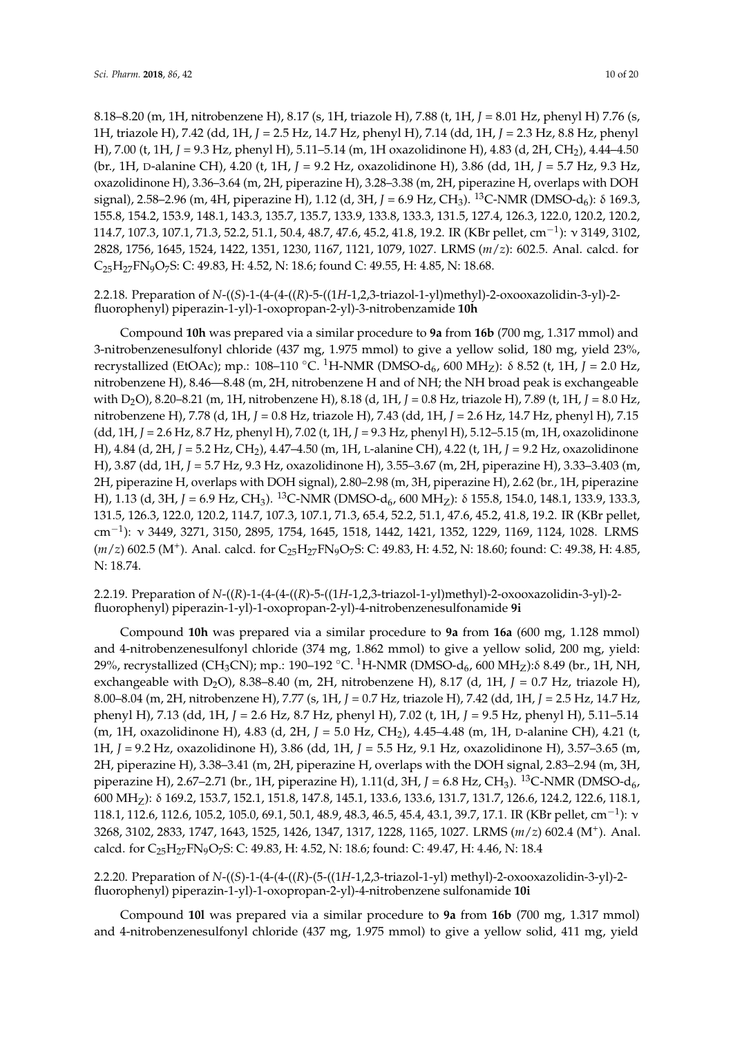8.18–8.20 (m, 1H, nitrobenzene H), 8.17 (s, 1H, triazole H), 7.88 (t, 1H, *J* = 8.01 Hz, phenyl H) 7.76 (s, 1H, triazole H), 7.42 (dd, 1H, *J* = 2.5 Hz, 14.7 Hz, phenyl H), 7.14 (dd, 1H, *J* = 2.3 Hz, 8.8 Hz, phenyl H), 7.00 (t, 1H, *J* = 9.3 Hz, phenyl H), 5.11–5.14 (m, 1H oxazolidinone H), 4.83 (d, 2H, CH2), 4.44–4.50 (br., 1H, D-alanine CH), 4.20 (t, 1H, *J* = 9.2 Hz, oxazolidinone H), 3.86 (dd, 1H, *J* = 5.7 Hz, 9.3 Hz, oxazolidinone H), 3.36–3.64 (m, 2H, piperazine H), 3.28–3.38 (m, 2H, piperazine H, overlaps with DOH signal), 2.58–2.96 (m, 4H, piperazine H), 1.12 (d, 3H, *J* = 6.9 Hz, CH<sub>3</sub>). <sup>13</sup>C-NMR (DMSO-d<sub>6</sub>): δ 169.3, 155.8, 154.2, 153.9, 148.1, 143.3, 135.7, 135.7, 133.9, 133.8, 133.3, 131.5, 127.4, 126.3, 122.0, 120.2, 120.2, 114.7, 107.3, 107.1, 71.3, 52.2, 51.1, 50.4, 48.7, 47.6, 45.2, 41.8, 19.2. IR (KBr pellet, cm−<sup>1</sup> ): ν 3149, 3102, 2828, 1756, 1645, 1524, 1422, 1351, 1230, 1167, 1121, 1079, 1027. LRMS (*m*/*z*): 602.5. Anal. calcd. for  $C_{25}H_{27}FN_{9}O_{7}S$ : C: 49.83, H: 4.52, N: 18.6; found C: 49.55, H: 4.85, N: 18.68.

2.2.18. Preparation of *N*-((*S*)-1-(4-(4-((*R*)-5-((1*H*-1,2,3-triazol-1-yl)methyl)-2-oxooxazolidin-3-yl)-2 fluorophenyl) piperazin-1-yl)-1-oxopropan-2-yl)-3-nitrobenzamide **10h**

Compound **10h** was prepared via a similar procedure to **9a** from **16b** (700 mg, 1.317 mmol) and 3-nitrobenzenesulfonyl chloride (437 mg, 1.975 mmol) to give a yellow solid, 180 mg, yield 23%, recrystallized (EtOAc); mp.: 108–110 °C. <sup>1</sup>H-NMR (DMSO-d<sub>6</sub>, 600 MH<sub>Z</sub>): δ 8.52 (t, 1H, *J* = 2.0 Hz, nitrobenzene H), 8.46—8.48 (m, 2H, nitrobenzene H and of NH; the NH broad peak is exchangeable with D2O), 8.20–8.21 (m, 1H, nitrobenzene H), 8.18 (d, 1H, *J* = 0.8 Hz, triazole H), 7.89 (t, 1H, *J* = 8.0 Hz, nitrobenzene H), 7.78 (d, 1H, *J* = 0.8 Hz, triazole H), 7.43 (dd, 1H, *J* = 2.6 Hz, 14.7 Hz, phenyl H), 7.15 (dd, 1H, *J* = 2.6 Hz, 8.7 Hz, phenyl H), 7.02 (t, 1H, *J* = 9.3 Hz, phenyl H), 5.12–5.15 (m, 1H, oxazolidinone H), 4.84 (d, 2H, *J* = 5.2 Hz, CH2), 4.47–4.50 (m, 1H, L-alanine CH), 4.22 (t, 1H, *J* = 9.2 Hz, oxazolidinone H), 3.87 (dd, 1H, *J* = 5.7 Hz, 9.3 Hz, oxazolidinone H), 3.55–3.67 (m, 2H, piperazine H), 3.33–3.403 (m, 2H, piperazine H, overlaps with DOH signal), 2.80–2.98 (m, 3H, piperazine H), 2.62 (br., 1H, piperazine H), 1.13 (d, 3H, *J* = 6.9 Hz, CH<sub>3</sub>). <sup>13</sup>C-NMR (DMSO-d<sub>6</sub>, 600 MH<sub>Z</sub>): δ 155.8, 154.0, 148.1, 133.9, 133.3, 131.5, 126.3, 122.0, 120.2, 114.7, 107.3, 107.1, 71.3, 65.4, 52.2, 51.1, 47.6, 45.2, 41.8, 19.2. IR (KBr pellet, cm−<sup>1</sup> ): ν 3449, 3271, 3150, 2895, 1754, 1645, 1518, 1442, 1421, 1352, 1229, 1169, 1124, 1028. LRMS (*m*/*z*) 602.5 (M<sup>+</sup>). Anal. calcd. for C<sub>25</sub>H<sub>27</sub>FN<sub>9</sub>O<sub>7</sub>S: C: 49.83, H: 4.52, N: 18.60; found: C: 49.38, H: 4.85, N: 18.74.

2.2.19. Preparation of *N*-((*R*)-1-(4-(4-((*R*)-5-((1*H*-1,2,3-triazol-1-yl)methyl)-2-oxooxazolidin-3-yl)-2 fluorophenyl) piperazin-1-yl)-1-oxopropan-2-yl)-4-nitrobenzenesulfonamide **9i**

Compound **10h** was prepared via a similar procedure to **9a** from **16a** (600 mg, 1.128 mmol) and 4-nitrobenzenesulfonyl chloride (374 mg, 1.862 mmol) to give a yellow solid, 200 mg, yield: 29%, recrystallized (CH<sub>3</sub>CN); mp.: 190–192 °C. <sup>1</sup>H-NMR (DMSO-d<sub>6</sub>, 600 MH<sub>Z</sub>):δ 8.49 (br., 1H, NH, exchangeable with D<sub>2</sub>O), 8.38–8.40 (m, 2H, nitrobenzene H), 8.17 (d, 1H,  $J = 0.7$  Hz, triazole H), 8.00–8.04 (m, 2H, nitrobenzene H), 7.77 (s, 1H, *J* = 0.7 Hz, triazole H), 7.42 (dd, 1H, *J* = 2.5 Hz, 14.7 Hz, phenyl H), 7.13 (dd, 1H, *J* = 2.6 Hz, 8.7 Hz, phenyl H), 7.02 (t, 1H, *J* = 9.5 Hz, phenyl H), 5.11–5.14 (m, 1H, oxazolidinone H), 4.83 (d, 2H, *J* = 5.0 Hz, CH2), 4.45–4.48 (m, 1H, D-alanine CH), 4.21 (t, 1H, *J* = 9.2 Hz, oxazolidinone H), 3.86 (dd, 1H, *J* = 5.5 Hz, 9.1 Hz, oxazolidinone H), 3.57–3.65 (m, 2H, piperazine H), 3.38–3.41 (m, 2H, piperazine H, overlaps with the DOH signal, 2.83–2.94 (m, 3H, piperazine H), 2.67–2.71 (br., 1H, piperazine H), 1.11(d, 3H, *J* = 6.8 Hz, CH<sub>3</sub>). <sup>13</sup>C-NMR (DMSO-d<sub>6</sub>, 600 MHZ): δ 169.2, 153.7, 152.1, 151.8, 147.8, 145.1, 133.6, 133.6, 131.7, 131.7, 126.6, 124.2, 122.6, 118.1, 118.1, 112.6, 112.6, 105.2, 105.0, 69.1, 50.1, 48.9, 48.3, 46.5, 45.4, 43.1, 39.7, 17.1. IR (KBr pellet, cm<sup>-1</sup>): v 3268, 3102, 2833, 1747, 1643, 1525, 1426, 1347, 1317, 1228, 1165, 1027. LRMS (*m*/*z*) 602.4 (M<sup>+</sup> ). Anal. calcd. for C25H27FN9O7S: C: 49.83, H: 4.52, N: 18.6; found: C: 49.47, H: 4.46, N: 18.4

2.2.20. Preparation of *N*-((*S*)-1-(4-(4-((*R*)-(5-((1*H*-1,2,3-triazol-1-yl) methyl)-2-oxooxazolidin-3-yl)-2 fluorophenyl) piperazin-1-yl)-1-oxopropan-2-yl)-4-nitrobenzene sulfonamide **10i**

Compound **10l** was prepared via a similar procedure to **9a** from **16b** (700 mg, 1.317 mmol) and 4-nitrobenzenesulfonyl chloride (437 mg, 1.975 mmol) to give a yellow solid, 411 mg, yield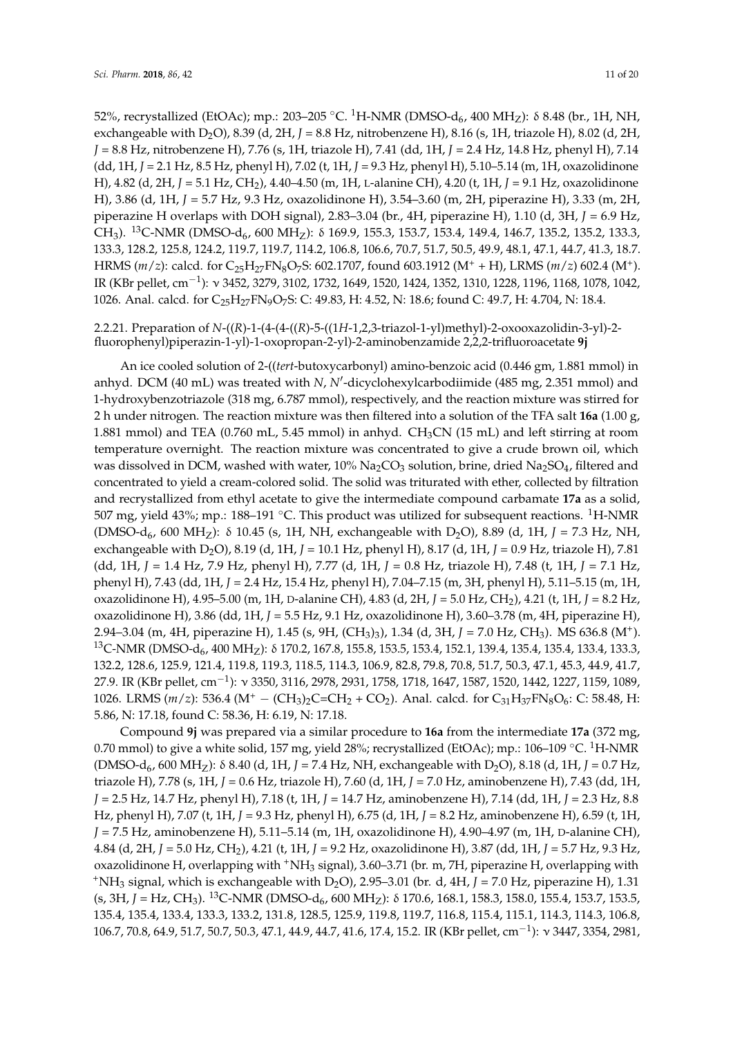52%, recrystallized (EtOAc); mp.: 203–205 °C. <sup>1</sup>H-NMR (DMSO-d<sub>6</sub>, 400 MH<sub>Z</sub>): δ 8.48 (br., 1H, NH, exchangeable with D<sub>2</sub>O), 8.39 (d, 2H,  $J = 8.8$  Hz, nitrobenzene H), 8.16 (s, 1H, triazole H), 8.02 (d, 2H, *J* = 8.8 Hz, nitrobenzene H), 7.76 (s, 1H, triazole H), 7.41 (dd, 1H, *J* = 2.4 Hz, 14.8 Hz, phenyl H), 7.14 (dd, 1H, *J* = 2.1 Hz, 8.5 Hz, phenyl H), 7.02 (t, 1H, *J* = 9.3 Hz, phenyl H), 5.10–5.14 (m, 1H, oxazolidinone H), 4.82 (d, 2H, *J* = 5.1 Hz, CH2), 4.40–4.50 (m, 1H, L-alanine CH), 4.20 (t, 1H, *J* = 9.1 Hz, oxazolidinone H), 3.86 (d, 1H, *J* = 5.7 Hz, 9.3 Hz, oxazolidinone H), 3.54–3.60 (m, 2H, piperazine H), 3.33 (m, 2H, piperazine H overlaps with DOH signal), 2.83–3.04 (br., 4H, piperazine H), 1.10 (d, 3H, *J* = 6.9 Hz, CH<sub>3</sub>). <sup>13</sup>C-NMR (DMSO-d<sub>6</sub>, 600 MH<sub>Z</sub>): δ 169.9, 155.3, 153.7, 153.4, 149.4, 146.7, 135.2, 135.2, 133.3, 133.3, 128.2, 125.8, 124.2, 119.7, 119.7, 114.2, 106.8, 106.6, 70.7, 51.7, 50.5, 49.9, 48.1, 47.1, 44.7, 41.3, 18.7. HRMS (*m*/*z*): calcd. for C25H27FN8O7S: 602.1707, found 603.1912 (M<sup>+</sup> + H), LRMS (*m*/*z*) 602.4 (M<sup>+</sup> ). IR (KBr pellet, cm−<sup>1</sup> ): ν 3452, 3279, 3102, 1732, 1649, 1520, 1424, 1352, 1310, 1228, 1196, 1168, 1078, 1042, 1026. Anal. calcd. for C25H27FN9O7S: C: 49.83, H: 4.52, N: 18.6; found C: 49.7, H: 4.704, N: 18.4.

2.2.21. Preparation of *N*-((*R*)-1-(4-(4-((*R*)-5-((1*H*-1,2,3-triazol-1-yl)methyl)-2-oxooxazolidin-3-yl)-2 fluorophenyl)piperazin-1-yl)-1-oxopropan-2-yl)-2-aminobenzamide 2,2,2-trifluoroacetate **9j**

An ice cooled solution of 2-((*tert*-butoxycarbonyl) amino-benzoic acid (0.446 gm, 1.881 mmol) in anhyd. DCM (40 mL) was treated with *N*, *N'*-dicyclohexylcarbodiimide (485 mg, 2.351 mmol) and 1-hydroxybenzotriazole (318 mg, 6.787 mmol), respectively, and the reaction mixture was stirred for 2 h under nitrogen. The reaction mixture was then filtered into a solution of the TFA salt **16a** (1.00 g, 1.881 mmol) and TEA (0.760 mL, 5.45 mmol) in anhyd. CH3CN (15 mL) and left stirring at room temperature overnight. The reaction mixture was concentrated to give a crude brown oil, which was dissolved in DCM, washed with water,  $10\%$  Na<sub>2</sub>CO<sub>3</sub> solution, brine, dried Na<sub>2</sub>SO<sub>4</sub>, filtered and concentrated to yield a cream-colored solid. The solid was triturated with ether, collected by filtration and recrystallized from ethyl acetate to give the intermediate compound carbamate **17a** as a solid, 507 mg, yield 43%; mp.: 188–191 °C. This product was utilized for subsequent reactions. <sup>1</sup>H-NMR (DMSO-d6, 600 MHZ): δ 10.45 (s, 1H, NH, exchangeable with D2O), 8.89 (d, 1H, *J* = 7.3 Hz, NH, exchangeable with D2O), 8.19 (d, 1H, *J* = 10.1 Hz, phenyl H), 8.17 (d, 1H, *J* = 0.9 Hz, triazole H), 7.81 (dd, 1H, *J* = 1.4 Hz, 7.9 Hz, phenyl H), 7.77 (d, 1H, *J* = 0.8 Hz, triazole H), 7.48 (t, 1H, *J* = 7.1 Hz, phenyl H), 7.43 (dd, 1H, *J* = 2.4 Hz, 15.4 Hz, phenyl H), 7.04–7.15 (m, 3H, phenyl H), 5.11–5.15 (m, 1H, oxazolidinone H), 4.95–5.00 (m, 1H, <sup>D</sup>-alanine CH), 4.83 (d, 2H, *J* = 5.0 Hz, CH2), 4.21 (t, 1H, *J* = 8.2 Hz, oxazolidinone H), 3.86 (dd, 1H, *J* = 5.5 Hz, 9.1 Hz, oxazolidinone H), 3.60–3.78 (m, 4H, piperazine H), 2.94–3.04 (m, 4H, piperazine H), 1.45 (s, 9H, (CH3)3), 1.34 (d, 3H, *J* = 7.0 Hz, CH3). MS 636.8 (M<sup>+</sup> ). <sup>13</sup>C-NMR (DMSO-d<sub>6</sub>, 400 MH<sub>Z</sub>): δ 170.2, 167.8, 155.8, 153.5, 153.4, 152.1, 139.4, 135.4, 135.4, 133.4, 133.3, 132.2, 128.6, 125.9, 121.4, 119.8, 119.3, 118.5, 114.3, 106.9, 82.8, 79.8, 70.8, 51.7, 50.3, 47.1, 45.3, 44.9, 41.7, 27.9. IR (KBr pellet, cm−<sup>1</sup> ): ν 3350, 3116, 2978, 2931, 1758, 1718, 1647, 1587, 1520, 1442, 1227, 1159, 1089, 1026. LRMS (*m*/*z*): 536.4 (M<sup>+</sup> − (CH<sub>3</sub>)<sub>2</sub>C=CH<sub>2</sub> + CO<sub>2</sub>). Anal. calcd. for C<sub>31</sub>H<sub>37</sub>FN<sub>8</sub>O<sub>6</sub>: C: 58.48, H: 5.86, N: 17.18, found C: 58.36, H: 6.19, N: 17.18.

Compound **9j** was prepared via a similar procedure to **16a** from the intermediate **17a** (372 mg, 0.70 mmol) to give a white solid, 157 mg, yield 28%; recrystallized (EtOAc); mp.: 106–109 °C. <sup>1</sup>H-NMR (DMSO-d<sub>6</sub>, 600 MH<sub>Z</sub>): δ 8.40 (d, 1H, *J* = 7.4 Hz, NH, exchangeable with D<sub>2</sub>O), 8.18 (d, 1H, *J* = 0.7 Hz, triazole H), 7.78 (s, 1H, *J* = 0.6 Hz, triazole H), 7.60 (d, 1H, *J* = 7.0 Hz, aminobenzene H), 7.43 (dd, 1H, *J* = 2.5 Hz, 14.7 Hz, phenyl H), 7.18 (t, 1H, *J* = 14.7 Hz, aminobenzene H), 7.14 (dd, 1H, *J* = 2.3 Hz, 8.8 Hz, phenyl H), 7.07 (t, 1H, *J* = 9.3 Hz, phenyl H), 6.75 (d, 1H, *J* = 8.2 Hz, aminobenzene H), 6.59 (t, 1H, *J* = 7.5 Hz, aminobenzene H), 5.11–5.14 (m, 1H, oxazolidinone H), 4.90–4.97 (m, 1H, D-alanine CH), 4.84 (d, 2H, *J* = 5.0 Hz, CH2), 4.21 (t, 1H, *J* = 9.2 Hz, oxazolidinone H), 3.87 (dd, 1H, *J* = 5.7 Hz, 9.3 Hz, oxazolidinone H, overlapping with  $^+$ NH<sub>3</sub> signal), 3.60–3.71 (br. m, 7H, piperazine H, overlapping with <sup>+</sup>NH<sub>3</sub> signal, which is exchangeable with D<sub>2</sub>O), 2.95–3.01 (br. d, 4H,  $J = 7.0$  Hz, piperazine H), 1.31 (s, 3H, *J* = Hz, CH<sub>3</sub>). <sup>13</sup>C-NMR (DMSO-d<sub>6</sub>, 600 MH<sub>7</sub>): δ 170.6, 168.1, 158.3, 158.0, 155.4, 153.7, 153.5, 135.4, 135.4, 133.4, 133.3, 133.2, 131.8, 128.5, 125.9, 119.8, 119.7, 116.8, 115.4, 115.1, 114.3, 114.3, 106.8, 106.7, 70.8, 64.9, 51.7, 50.7, 50.3, 47.1, 44.9, 44.7, 41.6, 17.4, 15.2. IR (KBr pellet, cm−<sup>1</sup> ): ν 3447, 3354, 2981,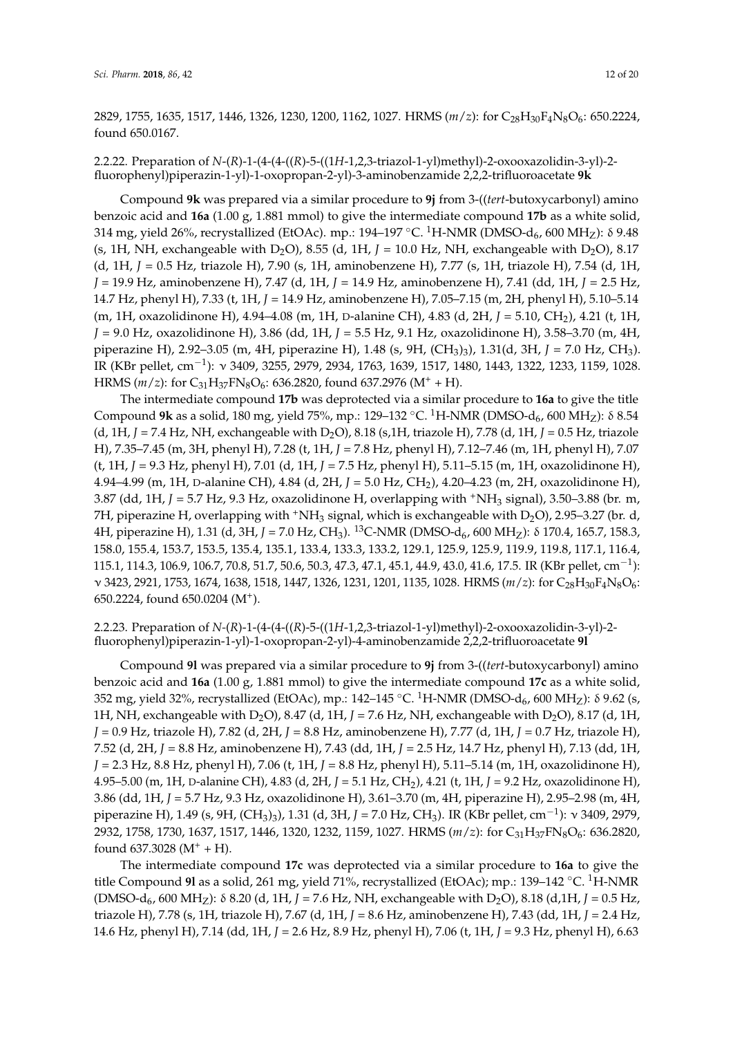2829, 1755, 1635, 1517, 1446, 1326, 1230, 1200, 1162, 1027. HRMS ( $m/z$ ): for C<sub>28</sub>H<sub>30</sub>F<sub>4</sub>N<sub>8</sub>O<sub>6</sub>: 650.2224, found 650.0167.

2.2.22. Preparation of *N*-(*R*)-1-(4-(4-((*R*)-5-((1*H*-1,2,3-triazol-1-yl)methyl)-2-oxooxazolidin-3-yl)-2 fluorophenyl)piperazin-1-yl)-1-oxopropan-2-yl)-3-aminobenzamide 2,2,2-trifluoroacetate **9k**

Compound **9k** was prepared via a similar procedure to **9j** from 3-((*tert*-butoxycarbonyl) amino benzoic acid and **16a** (1.00 g, 1.881 mmol) to give the intermediate compound **17b** as a white solid, 314 mg, yield 26%, recrystallized (EtOAc). mp.: 194–197 °C. <sup>1</sup>H-NMR (DMSO-d<sub>6</sub>, 600 MH<sub>Z</sub>): δ 9.48 (s, 1H, NH, exchangeable with  $D_2O$ ), 8.55 (d, 1H,  $J = 10.0$  Hz, NH, exchangeable with  $D_2O$ ), 8.17 (d, 1H, *J* = 0.5 Hz, triazole H), 7.90 (s, 1H, aminobenzene H), 7.77 (s, 1H, triazole H), 7.54 (d, 1H, *J* = 19.9 Hz, aminobenzene H), 7.47 (d, 1H, *J* = 14.9 Hz, aminobenzene H), 7.41 (dd, 1H, *J* = 2.5 Hz, 14.7 Hz, phenyl H), 7.33 (t, 1H, *J* = 14.9 Hz, aminobenzene H), 7.05–7.15 (m, 2H, phenyl H), 5.10–5.14 (m, 1H, oxazolidinone H), 4.94–4.08 (m, 1H, D-alanine CH), 4.83 (d, 2H, *J* = 5.10, CH2), 4.21 (t, 1H, *J* = 9.0 Hz, oxazolidinone H), 3.86 (dd, 1H, *J* = 5.5 Hz, 9.1 Hz, oxazolidinone H), 3.58–3.70 (m, 4H, piperazine H), 2.92–3.05 (m, 4H, piperazine H), 1.48 (s, 9H, (CH3)3), 1.31(d, 3H, *J* = 7.0 Hz, CH3). IR (KBr pellet, cm−<sup>1</sup> ): ν 3409, 3255, 2979, 2934, 1763, 1639, 1517, 1480, 1443, 1322, 1233, 1159, 1028. HRMS ( $m/z$ ): for C<sub>31</sub>H<sub>37</sub>FN<sub>8</sub>O<sub>6</sub>: 636.2820, found 637.2976 (M<sup>+</sup> + H).

The intermediate compound **17b** was deprotected via a similar procedure to **16a** to give the title Compound **9k** as a solid, 180 mg, yield 75%, mp.: 129–132 °C. <sup>1</sup>H-NMR (DMSO-d<sub>6</sub>, 600 MH<sub>Z</sub>): δ 8.54 (d, 1H, *J* = 7.4 Hz, NH, exchangeable with D2O), 8.18 (s,1H, triazole H), 7.78 (d, 1H, *J* = 0.5 Hz, triazole H), 7.35–7.45 (m, 3H, phenyl H), 7.28 (t, 1H, *J* = 7.8 Hz, phenyl H), 7.12–7.46 (m, 1H, phenyl H), 7.07 (t, 1H, *J* = 9.3 Hz, phenyl H), 7.01 (d, 1H, *J* = 7.5 Hz, phenyl H), 5.11–5.15 (m, 1H, oxazolidinone H), 4.94–4.99 (m, 1H, D-alanine CH), 4.84 (d, 2H, *J* = 5.0 Hz, CH2), 4.20–4.23 (m, 2H, oxazolidinone H), 3.87 (dd, 1H, *J* = 5.7 Hz, 9.3 Hz, oxazolidinone H, overlapping with <sup>+</sup>NH<sup>3</sup> signal), 3.50–3.88 (br. m, 7H, piperazine H, overlapping with  $\dagger$ NH<sub>3</sub> signal, which is exchangeable with D<sub>2</sub>O), 2.95–3.27 (br. d, 4H, piperazine H), 1.31 (d, 3H, *J* = 7.0 Hz, CH<sub>3</sub>). <sup>13</sup>C-NMR (DMSO-d<sub>6</sub>, 600 MH<sub>Z</sub>): δ 170.4, 165.7, 158.3, 158.0, 155.4, 153.7, 153.5, 135.4, 135.1, 133.4, 133.3, 133.2, 129.1, 125.9, 125.9, 119.9, 119.8, 117.1, 116.4, 115.1, 114.3, 106.9, 106.7, 70.8, 51.7, 50.6, 50.3, 47.3, 47.1, 45.1, 44.9, 43.0, 41.6, 17.5. IR (KBr pellet, cm<sup>-1</sup>): ν 3423, 2921, 1753, 1674, 1638, 1518, 1447, 1326, 1231, 1201, 1135, 1028. HRMS (*m*/*z*): for C28H30F4N8O6: 650.2224, found 650.0204 (M<sup>+</sup> ).

2.2.23. Preparation of *N-*(*R*)-1-(4-(4-((*R*)-5-((1*H*-1,2,3-triazol-1-yl)methyl)-2-oxooxazolidin-3-yl)-2 fluorophenyl)piperazin-1-yl)-1-oxopropan-2-yl)-4-aminobenzamide 2,2,2-trifluoroacetate **9l**

Compound **9l** was prepared via a similar procedure to **9j** from 3-((*tert*-butoxycarbonyl) amino benzoic acid and **16a** (1.00 g, 1.881 mmol) to give the intermediate compound **17c** as a white solid, 352 mg, yield 32%, recrystallized (EtOAc), mp.: 142–145 °C. <sup>1</sup>H-NMR (DMSO-d<sub>6</sub>, 600 MH<sub>Z</sub>): δ 9.62 (s, 1H, NH, exchangeable with D<sub>2</sub>O), 8.47 (d, 1H,  $J = 7.6$  Hz, NH, exchangeable with D<sub>2</sub>O), 8.17 (d, 1H, *J* = 0.9 Hz, triazole H), 7.82 (d, 2H, *J* = 8.8 Hz, aminobenzene H), 7.77 (d, 1H, *J* = 0.7 Hz, triazole H), 7.52 (d, 2H, *J* = 8.8 Hz, aminobenzene H), 7.43 (dd, 1H, *J* = 2.5 Hz, 14.7 Hz, phenyl H), 7.13 (dd, 1H, *J* = 2.3 Hz, 8.8 Hz, phenyl H), 7.06 (t, 1H, *J* = 8.8 Hz, phenyl H), 5.11–5.14 (m, 1H, oxazolidinone H), 4.95–5.00 (m, 1H, D-alanine CH), 4.83 (d, 2H, *J* = 5.1 Hz, CH2), 4.21 (t, 1H, *J* = 9.2 Hz, oxazolidinone H), 3.86 (dd, 1H, *J* = 5.7 Hz, 9.3 Hz, oxazolidinone H), 3.61–3.70 (m, 4H, piperazine H), 2.95–2.98 (m, 4H, piperazine H), 1.49 (s, 9H, (CH3)3), 1.31 (d, 3H, *J* = 7.0 Hz, CH3). IR (KBr pellet, cm−<sup>1</sup> ): ν 3409, 2979, 2932, 1758, 1730, 1637, 1517, 1446, 1320, 1232, 1159, 1027. HRMS (*m*/*z*): for C31H37FN8O6: 636.2820, found  $637.3028 (M^+ + H)$ .

The intermediate compound **17c** was deprotected via a similar procedure to **16a** to give the title Compound **9l** as a solid, 261 mg, yield 71%, recrystallized (EtOAc); mp.: 139–142 ◦C. <sup>1</sup>H-NMR (DMSO-d<sub>6</sub>, 600 MH<sub>Z</sub>): δ 8.20 (d, 1H, *J* = 7.6 Hz, NH, exchangeable with D<sub>2</sub>O), 8.18 (d, 1H, *J* = 0.5 Hz, triazole H), 7.78 (s, 1H, triazole H), 7.67 (d, 1H, *J* = 8.6 Hz, aminobenzene H), 7.43 (dd, 1H, *J* = 2.4 Hz, 14.6 Hz, phenyl H), 7.14 (dd, 1H, *J* = 2.6 Hz, 8.9 Hz, phenyl H), 7.06 (t, 1H, *J* = 9.3 Hz, phenyl H), 6.63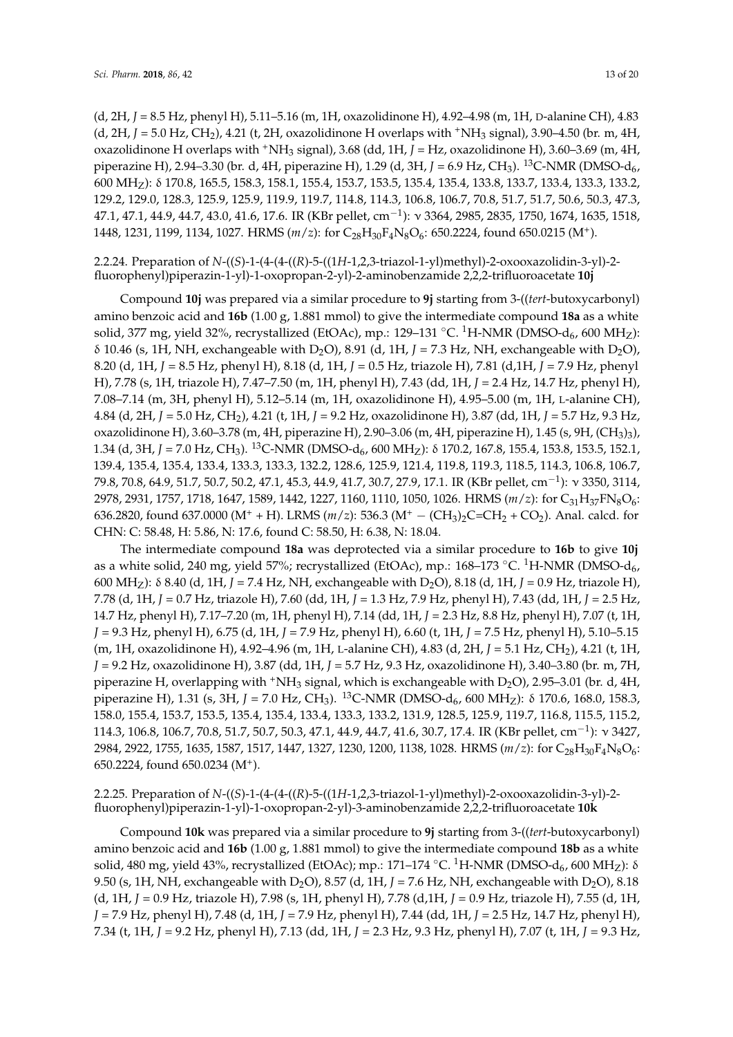(d, 2H, *J* = 8.5 Hz, phenyl H), 5.11–5.16 (m, 1H, oxazolidinone H), 4.92–4.98 (m, 1H, D-alanine CH), 4.83 (d, 2H,  $J = 5.0$  Hz, CH<sub>2</sub>), 4.21 (t, 2H, oxazolidinone H overlaps with <sup>+</sup>NH<sub>3</sub> signal), 3.90–4.50 (br. m, 4H, oxazolidinone H overlaps with <sup>+</sup>NH<sup>3</sup> signal), 3.68 (dd, 1H, *J* = Hz, oxazolidinone H), 3.60–3.69 (m, 4H, piperazine H), 2.94–3.30 (br. d, 4H, piperazine H), 1.29 (d, 3H, *J* = 6.9 Hz, CH<sub>3</sub>). <sup>13</sup>C-NMR (DMSO-d<sub>6</sub>, 600 MHZ): δ 170.8, 165.5, 158.3, 158.1, 155.4, 153.7, 153.5, 135.4, 135.4, 133.8, 133.7, 133.4, 133.3, 133.2, 129.2, 129.0, 128.3, 125.9, 125.9, 119.9, 119.7, 114.8, 114.3, 106.8, 106.7, 70.8, 51.7, 51.7, 50.6, 50.3, 47.3, 47.1, 47.1, 44.9, 44.7, 43.0, 41.6, 17.6. IR (KBr pellet, cm $^{-1}$ ):  $\rm v$  3364, 2985, 2835, 1750, 1674, 1635, 1518, 1448, 1231, 1199, 1134, 1027. HRMS (*m*/*z*): for C<sub>28</sub>H<sub>30</sub>F<sub>4</sub>N<sub>8</sub>O<sub>6</sub>: 650.2224, found 650.0215 (M<sup>+</sup>).

2.2.24. Preparation of *N*-((*S*)-1-(4-(4-((*R*)-5-((1*H*-1,2,3-triazol-1-yl)methyl)-2-oxooxazolidin-3-yl)-2 fluorophenyl)piperazin-1-yl)-1-oxopropan-2-yl)-2-aminobenzamide 2,2,2-trifluoroacetate **10j**

Compound **10j** was prepared via a similar procedure to **9j** starting from 3-((*tert*-butoxycarbonyl) amino benzoic acid and **16b** (1.00 g, 1.881 mmol) to give the intermediate compound **18a** as a white solid, 377 mg, yield 32%, recrystallized (EtOAc), mp.: 129–131 °C. <sup>1</sup>H-NMR (DMSO-d<sub>6</sub>, 600 MH<sub>Z</sub>): δ 10.46 (s, 1H, NH, exchangeable with D<sub>2</sub>O), 8.91 (d, 1H,  $J$  = 7.3 Hz, NH, exchangeable with D<sub>2</sub>O), 8.20 (d, 1H, *J* = 8.5 Hz, phenyl H), 8.18 (d, 1H, *J* = 0.5 Hz, triazole H), 7.81 (d,1H, *J* = 7.9 Hz, phenyl H), 7.78 (s, 1H, triazole H), 7.47–7.50 (m, 1H, phenyl H), 7.43 (dd, 1H, *J* = 2.4 Hz, 14.7 Hz, phenyl H), 7.08–7.14 (m, 3H, phenyl H), 5.12–5.14 (m, 1H, oxazolidinone H), 4.95–5.00 (m, 1H, L-alanine CH), 4.84 (d, 2H, *J* = 5.0 Hz, CH2), 4.21 (t, 1H, *J* = 9.2 Hz, oxazolidinone H), 3.87 (dd, 1H, *J* = 5.7 Hz, 9.3 Hz, oxazolidinone H), 3.60–3.78 (m, 4H, piperazine H), 2.90–3.06 (m, 4H, piperazine H), 1.45 (s, 9H, (CH3)3), 1.34 (d, 3H, *J* = 7.0 Hz, CH3). <sup>13</sup>C-NMR (DMSO-d6, 600 MHZ): δ 170.2, 167.8, 155.4, 153.8, 153.5, 152.1, 139.4, 135.4, 135.4, 133.4, 133.3, 133.3, 132.2, 128.6, 125.9, 121.4, 119.8, 119.3, 118.5, 114.3, 106.8, 106.7, 79.8, 70.8, 64.9, 51.7, 50.7, 50.2, 47.1, 45.3, 44.9, 41.7, 30.7, 27.9, 17.1. IR (KBr pellet, cm−<sup>1</sup> ): ν 3350, 3114, 2978, 2931, 1757, 1718, 1647, 1589, 1442, 1227, 1160, 1110, 1050, 1026. HRMS (*m*/*z*): for C31H37FN8O6: 636.2820, found 637.0000 (M<sup>+</sup> + H). LRMS ( $m/z$ ): 536.3 (M<sup>+</sup> – (CH<sub>3</sub>)<sub>2</sub>C=CH<sub>2</sub> + CO<sub>2</sub>). Anal. calcd. for CHN: C: 58.48, H: 5.86, N: 17.6, found C: 58.50, H: 6.38, N: 18.04.

The intermediate compound **18a** was deprotected via a similar procedure to **16b** to give **10j** as a white solid, 240 mg, yield 57%; recrystallized (EtOAc), mp.:  $168-173$  °C. <sup>1</sup>H-NMR (DMSO-d<sub>6</sub>, 600 MHZ): δ 8.40 (d, 1H, *J* = 7.4 Hz, NH, exchangeable with D2O), 8.18 (d, 1H, *J* = 0.9 Hz, triazole H), 7.78 (d, 1H, *J* = 0.7 Hz, triazole H), 7.60 (dd, 1H, *J* = 1.3 Hz, 7.9 Hz, phenyl H), 7.43 (dd, 1H, *J* = 2.5 Hz, 14.7 Hz, phenyl H), 7.17–7.20 (m, 1H, phenyl H), 7.14 (dd, 1H, *J* = 2.3 Hz, 8.8 Hz, phenyl H), 7.07 (t, 1H, *J* = 9.3 Hz, phenyl H), 6.75 (d, 1H, *J* = 7.9 Hz, phenyl H), 6.60 (t, 1H, *J* = 7.5 Hz, phenyl H), 5.10–5.15 (m, 1H, oxazolidinone H), 4.92–4.96 (m, 1H, L-alanine CH), 4.83 (d, 2H, *J* = 5.1 Hz, CH2), 4.21 (t, 1H, *J* = 9.2 Hz, oxazolidinone H), 3.87 (dd, 1H, *J* = 5.7 Hz, 9.3 Hz, oxazolidinone H), 3.40–3.80 (br. m, 7H, piperazine H, overlapping with  $^+$ NH<sub>3</sub> signal, which is exchangeable with D<sub>2</sub>O), 2.95–3.01 (br. d, 4H, piperazine H), 1.31 (s, 3H, *J* = 7.0 Hz, CH<sub>3</sub>). <sup>13</sup>C-NMR (DMSO-d<sub>6</sub>, 600 MH<sub>Z</sub>): δ 170.6, 168.0, 158.3, 158.0, 155.4, 153.7, 153.5, 135.4, 135.4, 133.4, 133.3, 133.2, 131.9, 128.5, 125.9, 119.7, 116.8, 115.5, 115.2, 114.3, 106.8, 106.7, 70.8, 51.7, 50.7, 50.3, 47.1, 44.9, 44.7, 41.6, 30.7, 17.4. IR (KBr pellet, cm−<sup>1</sup> ): ν 3427, 2984, 2922, 1755, 1635, 1587, 1517, 1447, 1327, 1230, 1200, 1138, 1028. HRMS ( $m/z$ ): for C<sub>28</sub>H<sub>30</sub>F<sub>4</sub>N<sub>8</sub>O<sub>6</sub>: 650.2224, found 650.0234 (M<sup>+</sup> ).

## 2.2.25. Preparation of *N*-((*S*)-1-(4-(4-((*R*)-5-((1*H*-1,2,3-triazol-1-yl)methyl)-2-oxooxazolidin-3-yl)-2 fluorophenyl)piperazin-1-yl)-1-oxopropan-2-yl)-3-aminobenzamide 2,2,2-trifluoroacetate **10k**

Compound **10k** was prepared via a similar procedure to **9j** starting from 3-((*tert*-butoxycarbonyl) amino benzoic acid and **16b** (1.00 g, 1.881 mmol) to give the intermediate compound **18b** as a white solid, 480 mg, yield 43%, recrystallized (EtOAc); mp.: 171–174 °C. <sup>1</sup>H-NMR (DMSO-d<sub>6</sub>, 600 MH<sub>Z</sub>): δ 9.50 (s, 1H, NH, exchangeable with D<sub>2</sub>O), 8.57 (d, 1H,  $J = 7.6$  Hz, NH, exchangeable with D<sub>2</sub>O), 8.18 (d, 1H, *J* = 0.9 Hz, triazole H), 7.98 (s, 1H, phenyl H), 7.78 (d,1H, *J* = 0.9 Hz, triazole H), 7.55 (d, 1H, *J* = 7.9 Hz, phenyl H), 7.48 (d, 1H, *J* = 7.9 Hz, phenyl H), 7.44 (dd, 1H, *J* = 2.5 Hz, 14.7 Hz, phenyl H), 7.34 (t, 1H, *J* = 9.2 Hz, phenyl H), 7.13 (dd, 1H, *J* = 2.3 Hz, 9.3 Hz, phenyl H), 7.07 (t, 1H, *J* = 9.3 Hz,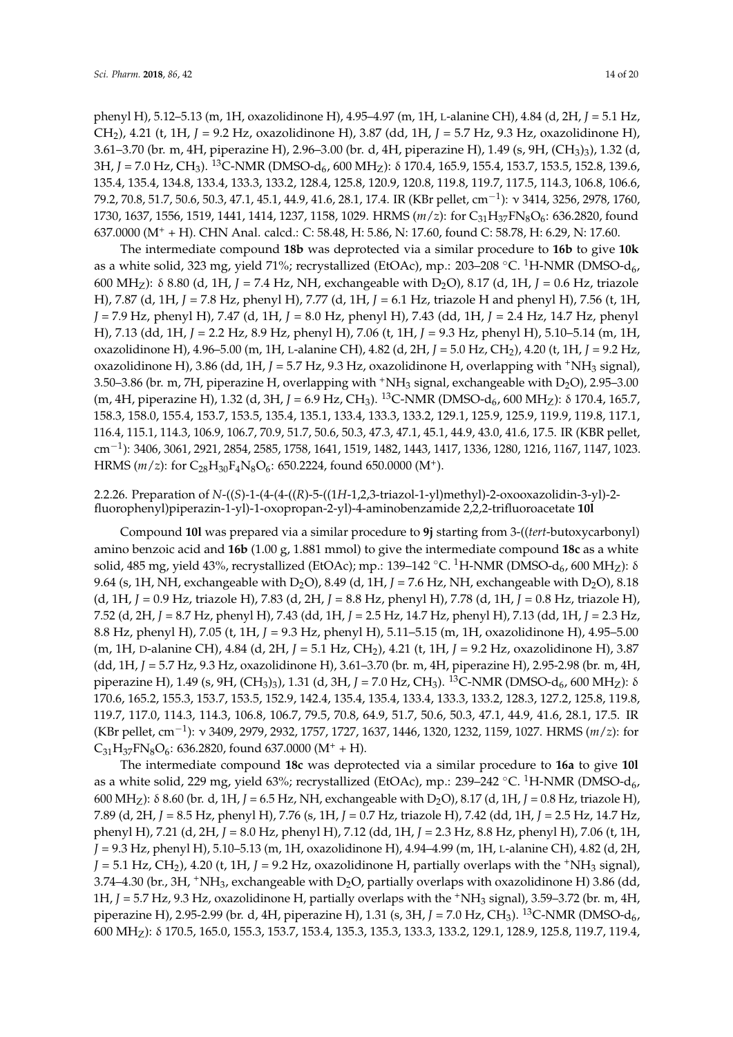phenyl H), 5.12–5.13 (m, 1H, oxazolidinone H), 4.95–4.97 (m, 1H, L-alanine CH), 4.84 (d, 2H, *J* = 5.1 Hz, CH2), 4.21 (t, 1H, *J* = 9.2 Hz, oxazolidinone H), 3.87 (dd, 1H, *J* = 5.7 Hz, 9.3 Hz, oxazolidinone H), 3.61–3.70 (br. m, 4H, piperazine H), 2.96–3.00 (br. d, 4H, piperazine H), 1.49 (s, 9H, (CH3)3), 1.32 (d, 3H, *J* = 7.0 Hz, CH<sub>3</sub>). <sup>13</sup>C-NMR (DMSO-d<sub>6</sub>, 600 MH<sub>Z</sub>): δ 170.4, 165.9, 155.4, 153.7, 153.5, 152.8, 139.6, 135.4, 135.4, 134.8, 133.4, 133.3, 133.2, 128.4, 125.8, 120.9, 120.8, 119.8, 119.7, 117.5, 114.3, 106.8, 106.6, 79.2, 70.8, 51.7, 50.6, 50.3, 47.1, 45.1, 44.9, 41.6, 28.1, 17.4. IR (KBr pellet, cm−<sup>1</sup> ): ν 3414, 3256, 2978, 1760, 1730, 1637, 1556, 1519, 1441, 1414, 1237, 1158, 1029. HRMS (*m*/*z*): for C31H37FN8O6: 636.2820, found 637.0000 (M<sup>+</sup> + H). CHN Anal. calcd.: C: 58.48, H: 5.86, N: 17.60, found C: 58.78, H: 6.29, N: 17.60.

The intermediate compound **18b** was deprotected via a similar procedure to **16b** to give **10k** as a white solid, 323 mg, yield 71%; recrystallized (EtOAc), mp.: 203–208 °C. <sup>1</sup>H-NMR (DMSO-d<sub>6</sub>, 600 MHZ): δ 8.80 (d, 1H, *J* = 7.4 Hz, NH, exchangeable with D2O), 8.17 (d, 1H, *J* = 0.6 Hz, triazole H), 7.87 (d, 1H, *J* = 7.8 Hz, phenyl H), 7.77 (d, 1H, *J* = 6.1 Hz, triazole H and phenyl H), 7.56 (t, 1H, *J* = 7.9 Hz, phenyl H), 7.47 (d, 1H, *J* = 8.0 Hz, phenyl H), 7.43 (dd, 1H, *J* = 2.4 Hz, 14.7 Hz, phenyl H), 7.13 (dd, 1H, *J* = 2.2 Hz, 8.9 Hz, phenyl H), 7.06 (t, 1H, *J* = 9.3 Hz, phenyl H), 5.10–5.14 (m, 1H, oxazolidinone H), 4.96–5.00 (m, 1H, L-alanine CH), 4.82 (d, 2H, *J* = 5.0 Hz, CH2), 4.20 (t, 1H, *J* = 9.2 Hz, oxazolidinone H), 3.86 (dd, 1H,  $J = 5.7$  Hz, 9.3 Hz, oxazolidinone H, overlapping with  $^+$ NH<sub>3</sub> signal), 3.50–3.86 (br. m, 7H, piperazine H, overlapping with  $^+NH_3$  signal, exchangeable with D<sub>2</sub>O), 2.95–3.00 (m, 4H, piperazine H), 1.32 (d, 3H, *J* = 6.9 Hz, CH<sub>3</sub>). <sup>13</sup>C-NMR (DMSO-d<sub>6</sub>, 600 MH<sub>Z</sub>): δ 170.4, 165.7, 158.3, 158.0, 155.4, 153.7, 153.5, 135.4, 135.1, 133.4, 133.3, 133.2, 129.1, 125.9, 125.9, 119.9, 119.8, 117.1, 116.4, 115.1, 114.3, 106.9, 106.7, 70.9, 51.7, 50.6, 50.3, 47.3, 47.1, 45.1, 44.9, 43.0, 41.6, 17.5. IR (KBR pellet,  $\text{cm}^{-1}$ ): 3406, 3061, 2921, 2854, 2585, 1758, 1641, 1519, 1482, 1443, 1417, 1336, 1280, 1216, 1167, 1147, 1023. HRMS (*m*/*z*): for C<sub>28</sub>H<sub>30</sub>F<sub>4</sub>N<sub>8</sub>O<sub>6</sub>: 650.2224, found 650.0000 (M<sup>+</sup>).

## 2.2.26. Preparation of *N*-((*S*)-1-(4-(4-((*R*)-5-((1*H*-1,2,3-triazol-1-yl)methyl)-2-oxooxazolidin-3-yl)-2 fluorophenyl)piperazin-1-yl)-1-oxopropan-2-yl)-4-aminobenzamide 2,2,2-trifluoroacetate **10l**

Compound **10l** was prepared via a similar procedure to **9j** starting from 3-((*tert*-butoxycarbonyl) amino benzoic acid and **16b** (1.00 g, 1.881 mmol) to give the intermediate compound **18c** as a white solid, 485 mg, yield 43%, recrystallized (EtOAc); mp.: 139–142 °C. <sup>1</sup>H-NMR (DMSO-d<sub>6</sub>, 600 MH<sub>Z</sub>): δ 9.64 (s, 1H, NH, exchangeable with D<sub>2</sub>O), 8.49 (d, 1H,  $J = 7.6$  Hz, NH, exchangeable with D<sub>2</sub>O), 8.18 (d, 1H, *J* = 0.9 Hz, triazole H), 7.83 (d, 2H, *J* = 8.8 Hz, phenyl H), 7.78 (d, 1H, *J* = 0.8 Hz, triazole H), 7.52 (d, 2H, *J* = 8.7 Hz, phenyl H), 7.43 (dd, 1H, *J* = 2.5 Hz, 14.7 Hz, phenyl H), 7.13 (dd, 1H, *J* = 2.3 Hz, 8.8 Hz, phenyl H), 7.05 (t, 1H, *J* = 9.3 Hz, phenyl H), 5.11–5.15 (m, 1H, oxazolidinone H), 4.95–5.00 (m, 1H, D-alanine CH), 4.84 (d, 2H, *J* = 5.1 Hz, CH2), 4.21 (t, 1H, *J* = 9.2 Hz, oxazolidinone H), 3.87 (dd, 1H, *J* = 5.7 Hz, 9.3 Hz, oxazolidinone H), 3.61–3.70 (br. m, 4H, piperazine H), 2.95-2.98 (br. m, 4H, piperazine H), 1.49 (s, 9H, (CH<sub>3</sub>)<sub>3</sub>), 1.31 (d, 3H, *J* = 7.0 Hz, CH<sub>3</sub>). <sup>13</sup>C-NMR (DMSO-d<sub>6</sub>, 600 MH<sub>Z</sub>): δ 170.6, 165.2, 155.3, 153.7, 153.5, 152.9, 142.4, 135.4, 135.4, 133.4, 133.3, 133.2, 128.3, 127.2, 125.8, 119.8, 119.7, 117.0, 114.3, 114.3, 106.8, 106.7, 79.5, 70.8, 64.9, 51.7, 50.6, 50.3, 47.1, 44.9, 41.6, 28.1, 17.5. IR (KBr pellet, cm−<sup>1</sup> ): ν 3409, 2979, 2932, 1757, 1727, 1637, 1446, 1320, 1232, 1159, 1027. HRMS (*m*/*z*): for  $C_{31}H_{37}FN_8O_6$ : 636.2820, found 637.0000 (M<sup>+</sup> + H).

The intermediate compound **18c** was deprotected via a similar procedure to **16a** to give **10l** as a white solid, 229 mg, yield 63%; recrystallized (EtOAc), mp.: 239–242 °C. <sup>1</sup>H-NMR (DMSO-d<sub>6</sub>, 600 MH<sub>Z</sub>): δ 8.60 (br. d, 1H, *J* = 6.5 Hz, NH, exchangeable with D<sub>2</sub>O), 8.17 (d, 1H, *J* = 0.8 Hz, triazole H), 7.89 (d, 2H, *J* = 8.5 Hz, phenyl H), 7.76 (s, 1H, *J* = 0.7 Hz, triazole H), 7.42 (dd, 1H, *J* = 2.5 Hz, 14.7 Hz, phenyl H), 7.21 (d, 2H, *J* = 8.0 Hz, phenyl H), 7.12 (dd, 1H, *J* = 2.3 Hz, 8.8 Hz, phenyl H), 7.06 (t, 1H, *J* = 9.3 Hz, phenyl H), 5.10–5.13 (m, 1H, oxazolidinone H), 4.94–4.99 (m, 1H, L-alanine CH), 4.82 (d, 2H,  $J = 5.1$  Hz, CH<sub>2</sub>), 4.20 (t, 1H,  $J = 9.2$  Hz, oxazolidinone H, partially overlaps with the <sup>+</sup>NH<sub>3</sub> signal), 3.74–4.30 (br., 3H,  $+NH_3$ , exchangeable with D<sub>2</sub>O, partially overlaps with oxazolidinone H) 3.86 (dd, 1H, *J* = 5.7 Hz, 9.3 Hz, oxazolidinone H, partially overlaps with the <sup>+</sup>NH<sub>3</sub> signal), 3.59–3.72 (br. m, 4H, piperazine H), 2.95-2.99 (br. d, 4H, piperazine H), 1.31 (s, 3H, *J* = 7.0 Hz, CH<sub>3</sub>). <sup>13</sup>C-NMR (DMSO-d<sub>6</sub>) 600 MHZ): δ 170.5, 165.0, 155.3, 153.7, 153.4, 135.3, 135.3, 133.3, 133.2, 129.1, 128.9, 125.8, 119.7, 119.4,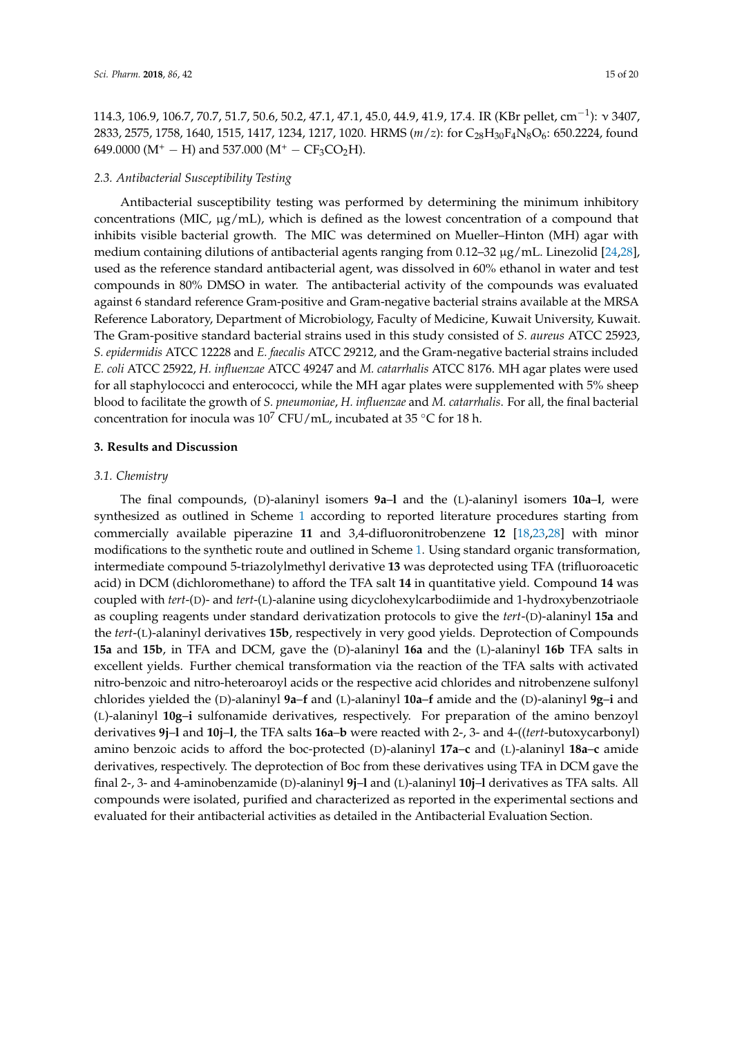114.3, 106.9, 106.7, 70.7, 51.7, 50.6, 50.2, 47.1, 47.1, 45.0, 44.9, 41.9, 17.4. IR (KBr pellet, cm<sup>-1</sup>):  $\sqrt{3407}$ , 2833, 2575, 1758, 1640, 1515, 1417, 1234, 1217, 1020. HRMS (*m*/*z*): for C28H30F4N8O6: 650.2224, found 649.0000 (M<sup>+</sup> − H) and 537.000 (M<sup>+</sup> − CF<sub>3</sub>CO<sub>2</sub>H).

#### *2.3. Antibacterial Susceptibility Testing*

Antibacterial susceptibility testing was performed by determining the minimum inhibitory concentrations (MIC,  $\mu$ g/mL), which is defined as the lowest concentration of a compound that inhibits visible bacterial growth. The MIC was determined on Mueller–Hinton (MH) agar with medium containing dilutions of antibacterial agents ranging from 0.12–32 µg/mL. Linezolid [\[24,](#page-18-16)[28\]](#page-18-17), used as the reference standard antibacterial agent, was dissolved in 60% ethanol in water and test compounds in 80% DMSO in water. The antibacterial activity of the compounds was evaluated against 6 standard reference Gram-positive and Gram-negative bacterial strains available at the MRSA Reference Laboratory, Department of Microbiology, Faculty of Medicine, Kuwait University, Kuwait. The Gram-positive standard bacterial strains used in this study consisted of *S. aureus* ATCC 25923, *S. epidermidis* ATCC 12228 and *E. faecalis* ATCC 29212, and the Gram-negative bacterial strains included *E. coli* ATCC 25922, *H. influenzae* ATCC 49247 and *M. catarrhalis* ATCC 8176. MH agar plates were used for all staphylococci and enterococci, while the MH agar plates were supplemented with 5% sheep blood to facilitate the growth of *S. pneumoniae*, *H. influenzae* and *M. catarrhalis*. For all, the final bacterial concentration for inocula was  $10^7$  CFU/mL, incubated at 35 °C for 18 h.

#### **3. Results and Discussion**

#### *3.1. Chemistry*

The final compounds, (D)-alaninyl isomers **9a**–**l** and the (L)-alaninyl isomers **10a**–**l**, were synthesized as outlined in Scheme [1](#page-15-0) according to reported literature procedures starting from commercially available piperazine **11** and 3,4-difluoronitrobenzene **12** [\[18,](#page-18-10)[23,](#page-18-15)[28\]](#page-18-17) with minor modifications to the synthetic route and outlined in Scheme [1.](#page-15-0) Using standard organic transformation, intermediate compound 5-triazolylmethyl derivative **13** was deprotected using TFA (trifluoroacetic acid) in DCM (dichloromethane) to afford the TFA salt **14** in quantitative yield. Compound **14** was coupled with *tert*-(D)- and *tert*-(L)-alanine using dicyclohexylcarbodiimide and 1-hydroxybenzotriaole as coupling reagents under standard derivatization protocols to give the *tert*-(D)-alaninyl **15a** and the *tert*-(L)-alaninyl derivatives **15b**, respectively in very good yields. Deprotection of Compounds **15a** and **15b**, in TFA and DCM, gave the (D)-alaninyl **16a** and the (L)-alaninyl **16b** TFA salts in excellent yields. Further chemical transformation via the reaction of the TFA salts with activated nitro-benzoic and nitro-heteroaroyl acids or the respective acid chlorides and nitrobenzene sulfonyl chlorides yielded the (D)-alaninyl **9a**–**f** and (L)-alaninyl **10a**–**f** amide and the (D)-alaninyl **9g**–**i** and (L)-alaninyl **10g**–**i** sulfonamide derivatives, respectively. For preparation of the amino benzoyl derivatives **9j**–**l** and **10j**–**l**, the TFA salts **16a**–**b** were reacted with 2-, 3- and 4-((*tert*-butoxycarbonyl) amino benzoic acids to afford the boc-protected (D)-alaninyl **17a**–**c** and (L)-alaninyl **18a**–**c** amide derivatives, respectively. The deprotection of Boc from these derivatives using TFA in DCM gave the final 2-, 3- and 4-aminobenzamide (D)-alaninyl **9j**–**l** and (L)-alaninyl **10j**–**l** derivatives as TFA salts. All compounds were isolated, purified and characterized as reported in the experimental sections and evaluated for their antibacterial activities as detailed in the Antibacterial Evaluation Section.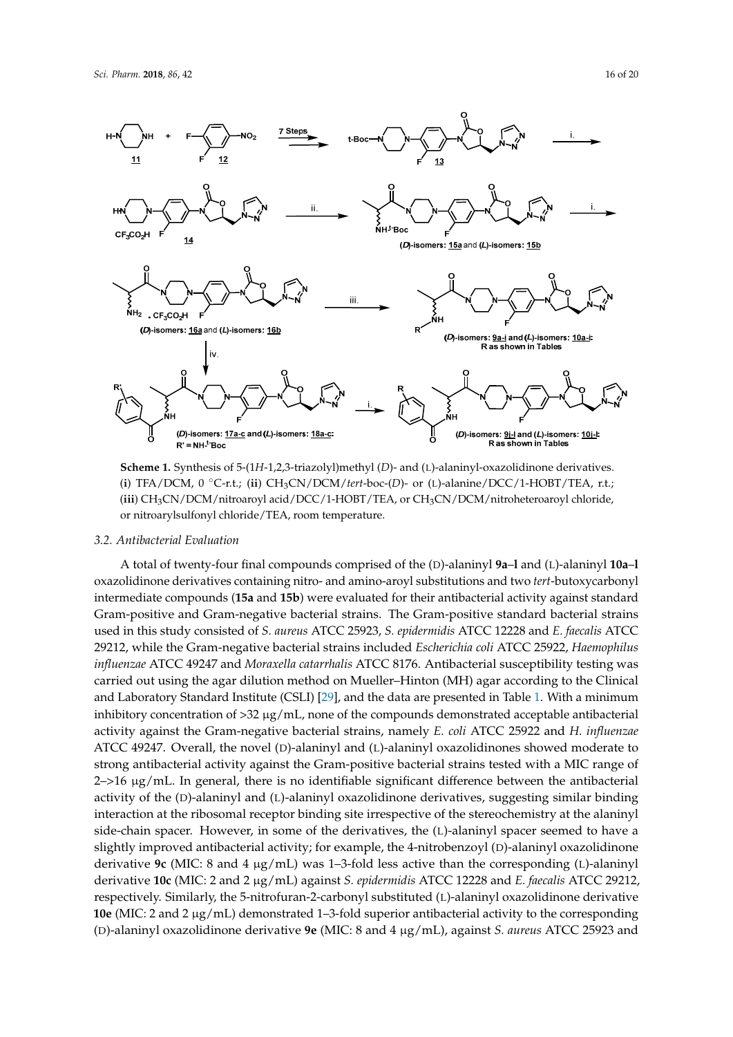

<span id="page-15-0"></span>

**Scheme 1.** Synthesis of 5-(1H-1,2,3-triazolyl)methyl (D)- and (L)-alaninyl-oxazolidinone derivatives. (i) TFA/DCM, 0 °C-r.t.; (ii) CH<sub>3</sub>CN/DCM/tert-boc-(D)- or (L)-alanine/DCC/1-HOBT/TEA, r.t.; (iii) CH<sub>3</sub>CN/DCM/nitroaroyl acid/DCC/1-HOBT/TEA, or CH<sub>3</sub>CN/DCM/nitroheteroaroyl chloride, nitroarylsulfonyl chloride/TEA, room temperature. or nitroarylsulfonyl chloride/TEA, room temperature.

## *3.2. Antibacterial Evaluation 3.2. Antibacterial Evaluation*

A total of twenty-four final compounds comprised of the (D)-alaninyl 9a–l and (L)-alaninyl 10a–l oxazolidinone derivatives containing nitro- and amino-aroyl substitutions and two *tert*-butoxycarbonyl<br>. intermediate compounds  $(15a$  and  $15b)$  were evaluated for their antibacterial activity against standard Gram-positive and Gram-negative bacterial strains. The Gram-positive standard bacterial strains. used in this study consisted of *S. aureus* ATCC 25923, *S. epidermidis* ATCC 12228 and *E. faecalis* ATCC *E. faecalis* ATCC 29212, while the Gram-negative bacterial strains included *Escherichia coli* ATCC 29212, while the Gram-negative bacterial strains included *Escherichia coli* ATCC 25922, *Haemophilus* 25922, *Haemophilus influenzae* ATCC 49247 and *Moraxella catarrhalis* ATCC 8176. Antibacterial *influenzae* ATCC 49247 and *Moraxella catarrhalis* ATCC 8176. Antibacterial susceptibility testing was carried out using the agar dilution method on Mueller–Hinton (MH) agar according to the Clinical<br> and Laboratory Standard Institute (CSLI) [\[29\]](#page-19-0), and the data are presented in Table [1.](#page-17-4) With a minimum<br>... inhibitory concentration of  $>32 \mu g/ml$ , none of the compounds demonstrated acceptable antibacterial activity against the Gram-negative bacterial strains, namely *E. coli* ATCC 25922 and *H. influenzae* ATCC 49247. Overall, the novel (*D*)-alaninyl and (*L*)-alaninyl oxazolidinones showed moderate to strong antibacterial activity against the Gram-positive bacterial strains tested with a MIC range of  $2 \rightarrow 16 \mu g/mL$ . In general, there is no identifiable significant difference between the antibacterial activity of the (*D*)-alaninyl and (*L*)-alaninyl oxazolidinone derivatives, suggesting similar binding interaction at the ribosomal receptor binding site irrespective of the stereochemistry at the alaninyl side-chain spacer. However, in some of the derivatives, the (*L*)-alaninyl spacer seemed to have a slightly improved antibacterial activity; for example, the 4-nitrobenzoyl (D)-alaninyl oxazolidinone derivative **9c** (MIC: 8 and 4 µg/mL) was 1–3-fold less active than the corresponding (L)-alaninyl derivative 10c (MIC: 2 and 2 µg/mL) against S. epidermidis ATCC 12228 and E. faecalis ATCC 29212, respectively. Similarly, the 5-nitrofuran-2-carbonyl substituted (L)-alaninyl oxazolidinone derivative **10e** (MIC: 2 and 2 μg/mL) demonstrated 1–3-fold superior antibacterial activity to the corresponding 1.1 and 2 μg/mL) antibacterial activity to the corresponding (*D*)-alaninyl oxazolidinone derivative **9e** (MIC: 8 and 4 (D)-alaninyl oxazolidinone derivative **9e** (MIC: 8 and 4 µg/mL), against *S. aureus* ATCC 25923 and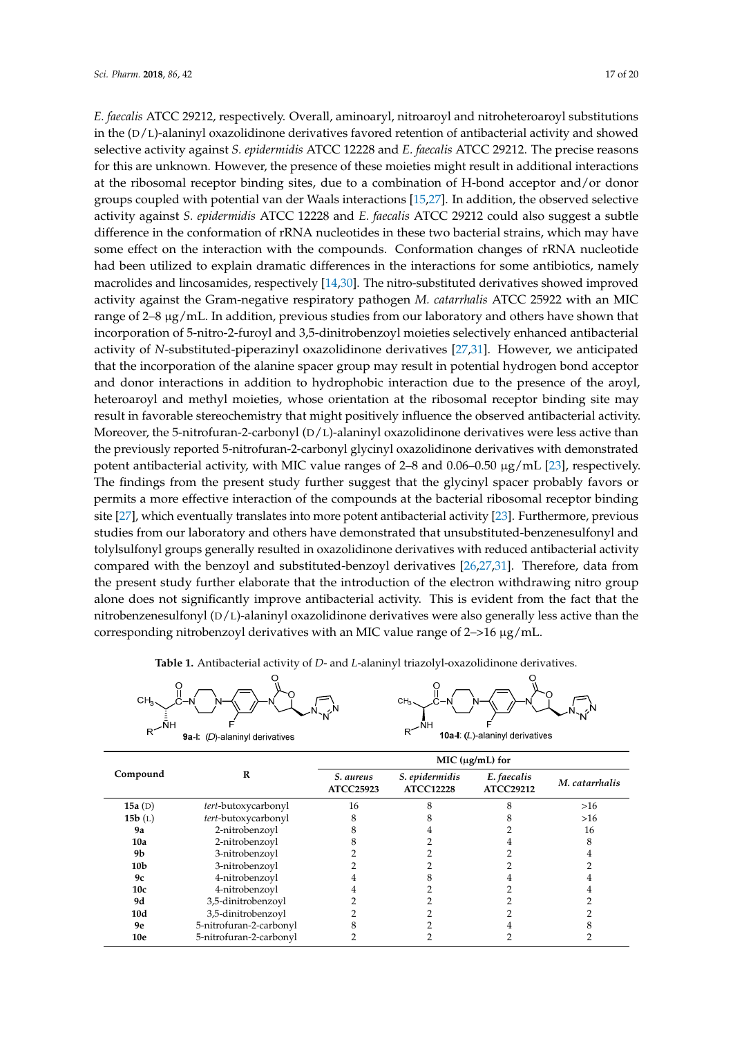**.**

*E. faecalis ATCC 29212, respectively. Overall, aminoaryl, nitroaroyl and nitroheteroaroyl substitutions* in the  $(D/L)$ -alaninyl oxazolidinone derivatives favored retention of antibacterial activity and showed selective activity against S. epidermidis ATCC 12228 and E. faecalis ATCC 29212. The precise reasons for this are unknown. However, the presence of these moieties might result in additional interactions at the ribosomal receptor binding sites, due to a combination of H-bond acceptor and/or donor groups coupled with potential van der Waals interactions [\[15](#page-18-6)[,27\]](#page-18-14). In addition, the observed selective activity against S. epidermidis ATCC 12228 and E. faecalis ATCC 29212 could also suggest a subtle difference in the conformation of rRNA nucleotides in these two bacterial strains, which may have some effect on the interaction with the compounds. Conformation changes of rRNA nucleotide Figure 2010 of the interaction chan are compounded to changes of the interactions for the interactions had been utilized to explain dramatic differences in the interactions for some antibiotics, namely macrolides and lincosamides, respectively [\[14,](#page-18-5)[30\]](#page-19-1). The nitro-substituted derivatives showed improved<br>state and the Gram-negative respiratory pathogens in the Gram-negative respiratory pathogens in the Gram-negat activity against the Gram-negative respiratory pathogen *M. catarrhalis* ATCC 25922 with an MIC range of 2–8 µg/mL. In addition, previous studies from our laboratory and others have shown that incorporation of 5-nitro-2-furoyl and 3,5-dinitrobenzoyl moieties selectively enhanced antibacterial activity of *N*-substituted-piperazinyl oxazolidinone derivatives [\[27,](#page-18-14)[31\]](#page-19-2). However, we anticipated that the incorporation of the alanine spacer group may result in potential hydrogen bond acceptor and donor interactions in addition to hydrophobic interaction due to the presence of the aroyl, heteroaroyl and methyl moieties, whose orientation at the ribosomal receptor binding site may result in favorable stereochemistry that might positively influence the observed antibacterial activity. influence the observed antibacterial activity. Moreover, the 5-nitrofuran-2-carbonyl (*D*/*L*)-alaninyl Moreover, the 5-nitrofuran-2-carbonyl (D/L)-alaninyl oxazolidinone derivatives were less active than the previously reported 5-nitrofuran-2-carbonyl glycinyl oxazolidinone derivatives with demonstrated potent antibacterial activity, with MIC value ranges of 2–8 and 0.06–0.50  $\mu$ g/mL [\[23\]](#page-18-15), respectively. The findings from the present study further suggest that the glycinyl spacer probably favors or permits a more effective interaction of the compounds at the bacterial ribosomal receptor binding site [27], which eventually translates into m[ore](#page-18-14) potent antibacterial activity [23]. Furthermore, previous studies from our laboratory and others have demonstrated that unsubstituted-benzenesulfonyl and tolylsulfonyl groups generally resulted in oxazolidinone derivatives with reduced antibacterial activity compared with the benzoyl and substituted-benzoyl derivatives [26,27,31]. Therefore, data from the present study further elaborate that the introduction of the electron withdrawing nitro group alone does not significantly improve antibacterial activity. This is evident from the fact that the nitrobenzenesulfonyl (D/L)-alaninyl oxazolidinone derivatives were also generally less active than the corresponding nitrobenzoyl derivatives with an MIC value range of 2->16 µg/mL. interactions for some antibiotics, namely matrices and linear matrices and linear matrices and linear  $\frac{1}{2}$ ,  $\frac{1}{2}$ ,  $\frac{1}{2}$ ,  $\frac{1}{2}$ ,  $\frac{1}{2}$ ,  $\frac{1}{2}$ ,  $\frac{1}{2}$ ,  $\frac{1}{2}$ ,  $\frac{1}{2}$ ,  $\frac{1}{2}$ ,  $\frac{1}{2}$ 

| CH <sub>3</sub>                       | CH <sub>2</sub>                 |
|---------------------------------------|---------------------------------|
| <b>9a-I:</b> (D)-alaninyl derivatives | 10a-I: (L)-alaninyl derivatives |

**Table 1.** Antibacterial activity of *D*- and *L*-alaninyl triazolyl-oxazolidinone derivatives. **Table 1.** Antibacterial activity of *D*- and *L*-alaninyl triazolyl-oxazolidinone derivatives.

| Compound        | R                       | MIC (µg/mL) for               |                                    |                                 |                |  |
|-----------------|-------------------------|-------------------------------|------------------------------------|---------------------------------|----------------|--|
|                 |                         | S. aureus<br><b>ATCC25923</b> | S. epidermidis<br><b>ATCC12228</b> | E. faecalis<br><b>ATCC29212</b> | M. catarrhalis |  |
| 15a $(D)$       | tert-butoxycarbonyl     | 16                            |                                    |                                 | $>16$          |  |
| 15b(L)          | tert-butoxycarbonyl     |                               |                                    |                                 | $>16$          |  |
| <b>9a</b>       | 2-nitrobenzoyl          |                               |                                    |                                 | 16             |  |
| 10a             | 2-nitrobenzovl          |                               |                                    |                                 |                |  |
| 9b              | 3-nitrobenzovl          |                               |                                    |                                 |                |  |
| 10 <sub>b</sub> | 3-nitrobenzoyl          |                               |                                    |                                 |                |  |
| 9c              | 4-nitrobenzoyl          |                               |                                    |                                 |                |  |
| 10 <sub>c</sub> | 4-nitrobenzoyl          |                               |                                    |                                 |                |  |
| 9d              | 3,5-dinitrobenzoyl      |                               |                                    |                                 |                |  |
| 10d             | 3,5-dinitrobenzoyl      |                               |                                    |                                 |                |  |
| <b>9e</b>       | 5-nitrofuran-2-carbonyl |                               |                                    |                                 |                |  |
| 10e             | 5-nitrofuran-2-carbonyl |                               |                                    |                                 |                |  |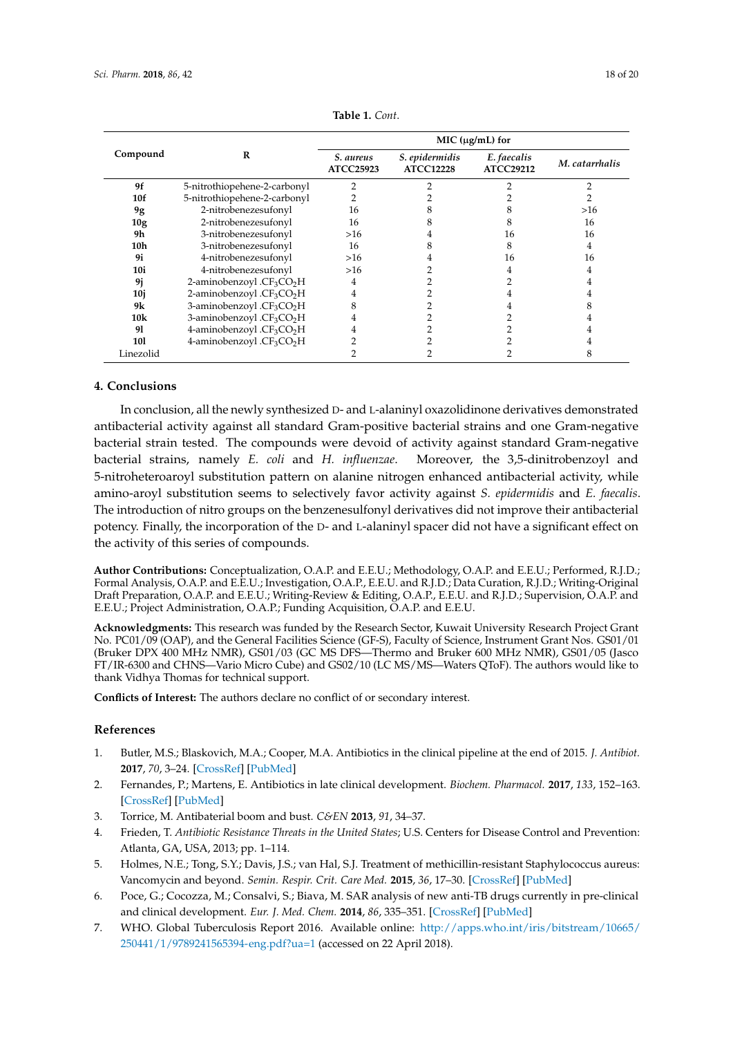<span id="page-17-4"></span>

| Compound  | R                                                 | MIC $(\mu g/mL)$ for          |                                    |                                 |                |
|-----------|---------------------------------------------------|-------------------------------|------------------------------------|---------------------------------|----------------|
|           |                                                   | S. aureus<br><b>ATCC25923</b> | S. epidermidis<br><b>ATCC12228</b> | E. faecalis<br><b>ATCC29212</b> | M. catarrhalis |
| 9f        | 5-nitrothiopehene-2-carbonyl                      |                               |                                    |                                 |                |
| 10f       | 5-nitrothiopehene-2-carbonyl                      |                               |                                    |                                 |                |
| 9g        | 2-nitrobenezesufonyl                              | 16                            |                                    |                                 | >16            |
| 10g       | 2-nitrobenezesufonyl                              | 16                            |                                    |                                 | 16             |
| 9h        | 3-nitrobenezesufonyl                              | >16                           |                                    | 16                              | 16             |
| 10h       | 3-nitrobenezesufonyl                              | 16                            |                                    |                                 | 4              |
| 9i        | 4-nitrobenezesufonyl                              | >16                           |                                    | 16                              | 16             |
| 10i       | 4-nitrobenezesufonyl                              | $>16$                         |                                    |                                 | 4              |
| 9j        | 2-aminobenzoyl. $CF_3CO_2H$                       | 4                             |                                    |                                 | 4              |
| 10j       | 2-aminobenzoyl .CF <sub>3</sub> CO <sub>2</sub> H | 4                             |                                    |                                 | 4              |
| 9k        | 3-aminobenzoyl .CF <sub>3</sub> CO <sub>2</sub> H |                               |                                    |                                 |                |
| 10k       | 3-aminobenzoyl .CF <sub>3</sub> CO <sub>2</sub> H |                               |                                    |                                 |                |
| 91        | 4-aminobenzoyl .CF <sub>3</sub> CO <sub>2</sub> H |                               |                                    |                                 |                |
| 101       | 4-aminobenzoyl .CF <sub>3</sub> CO <sub>2</sub> H |                               |                                    |                                 |                |
| Linezolid |                                                   |                               |                                    |                                 |                |

**Table 1.** *Cont*.

#### **4. Conclusions**

In conclusion, all the newly synthesized D- and L-alaninyl oxazolidinone derivatives demonstrated antibacterial activity against all standard Gram-positive bacterial strains and one Gram-negative bacterial strain tested. The compounds were devoid of activity against standard Gram-negative bacterial strains, namely *E. coli* and *H. influenzae*. Moreover, the 3,5-dinitrobenzoyl and 5-nitroheteroaroyl substitution pattern on alanine nitrogen enhanced antibacterial activity, while amino-aroyl substitution seems to selectively favor activity against *S. epidermidis* and *E. faecalis*. The introduction of nitro groups on the benzenesulfonyl derivatives did not improve their antibacterial potency. Finally, the incorporation of the D- and L-alaninyl spacer did not have a significant effect on the activity of this series of compounds.

**Author Contributions:** Conceptualization, O.A.P. and E.E.U.; Methodology, O.A.P. and E.E.U.; Performed, R.J.D.; Formal Analysis, O.A.P. and E.E.U.; Investigation, O.A.P., E.E.U. and R.J.D.; Data Curation, R.J.D.; Writing-Original Draft Preparation, O.A.P. and E.E.U.; Writing-Review & Editing, O.A.P., E.E.U. and R.J.D.; Supervision, O.A.P. and E.E.U.; Project Administration, O.A.P.; Funding Acquisition, O.A.P. and E.E.U.

**Acknowledgments:** This research was funded by the Research Sector, Kuwait University Research Project Grant No. PC01/09 (OAP), and the General Facilities Science (GF-S), Faculty of Science, Instrument Grant Nos. GS01/01 (Bruker DPX 400 MHz NMR), GS01/03 (GC MS DFS—Thermo and Bruker 600 MHz NMR), GS01/05 (Jasco FT/IR-6300 and CHNS—Vario Micro Cube) and GS02/10 (LC MS/MS—Waters QToF). The authors would like to thank Vidhya Thomas for technical support.

**Conflicts of Interest:** The authors declare no conflict of or secondary interest.

#### **References**

- <span id="page-17-0"></span>1. Butler, M.S.; Blaskovich, M.A.; Cooper, M.A. Antibiotics in the clinical pipeline at the end of 2015. *J. Antibiot.* **2017**, *70*, 3–24. [\[CrossRef\]](http://dx.doi.org/10.1038/ja.2016.72) [\[PubMed\]](http://www.ncbi.nlm.nih.gov/pubmed/27353164)
- 2. Fernandes, P.; Martens, E. Antibiotics in late clinical development. *Biochem. Pharmacol.* **2017**, *133*, 152–163. [\[CrossRef\]](http://dx.doi.org/10.1016/j.bcp.2016.09.025) [\[PubMed\]](http://www.ncbi.nlm.nih.gov/pubmed/27687641)
- <span id="page-17-1"></span>3. Torrice, M. Antibaterial boom and bust. *C&EN* **2013**, *91*, 34–37.
- <span id="page-17-2"></span>4. Frieden, T. *Antibiotic Resistance Threats in the United States*; U.S. Centers for Disease Control and Prevention: Atlanta, GA, USA, 2013; pp. 1–114.
- 5. Holmes, N.E.; Tong, S.Y.; Davis, J.S.; van Hal, S.J. Treatment of methicillin-resistant Staphylococcus aureus: Vancomycin and beyond. *Semin. Respir. Crit. Care Med.* **2015**, *36*, 17–30. [\[CrossRef\]](http://dx.doi.org/10.1055/s-0034-1397040) [\[PubMed\]](http://www.ncbi.nlm.nih.gov/pubmed/25643268)
- 6. Poce, G.; Cocozza, M.; Consalvi, S.; Biava, M. SAR analysis of new anti-TB drugs currently in pre-clinical and clinical development. *Eur. J. Med. Chem.* **2014**, *86*, 335–351. [\[CrossRef\]](http://dx.doi.org/10.1016/j.ejmech.2014.08.066) [\[PubMed\]](http://www.ncbi.nlm.nih.gov/pubmed/25173852)
- <span id="page-17-3"></span>7. WHO. Global Tuberculosis Report 2016. Available online: [http://apps.who.int/iris/bitstream/10665/](http://apps.who.int/iris/bitstream/10665/250441/1/9789241565394-eng.pdf?ua=1) [250441/1/9789241565394-eng.pdf?ua=1](http://apps.who.int/iris/bitstream/10665/250441/1/9789241565394-eng.pdf?ua=1) (accessed on 22 April 2018).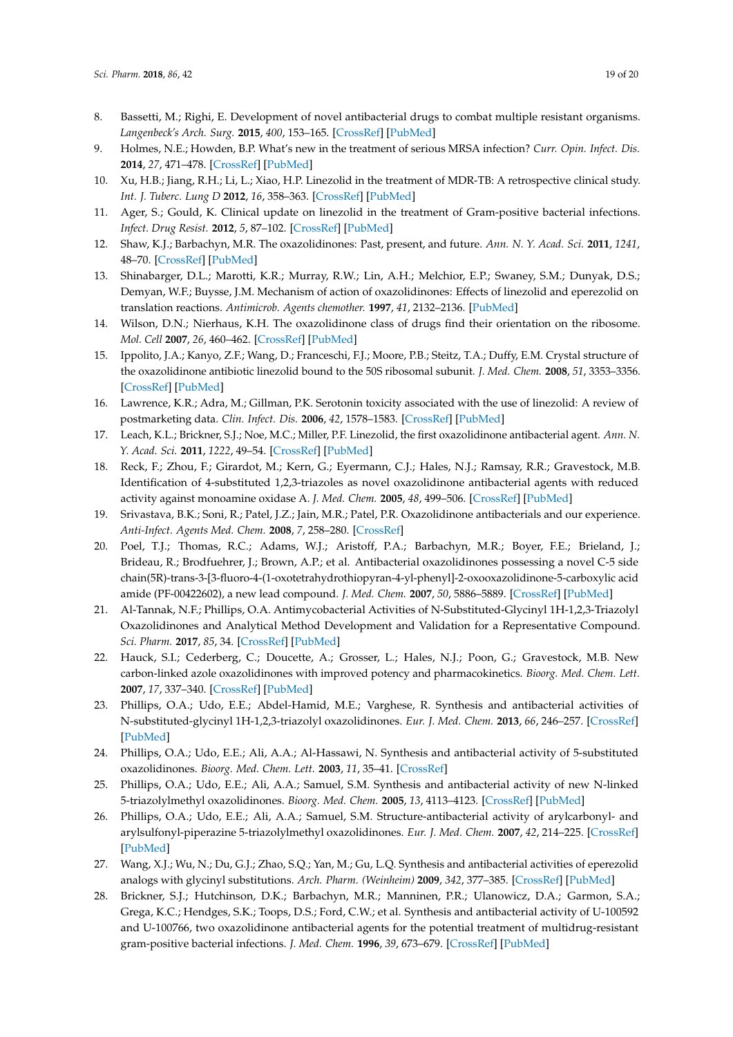- <span id="page-18-0"></span>8. Bassetti, M.; Righi, E. Development of novel antibacterial drugs to combat multiple resistant organisms. *Langenbeck's Arch. Surg.* **2015**, *400*, 153–165. [\[CrossRef\]](http://dx.doi.org/10.1007/s00423-015-1280-4) [\[PubMed\]](http://www.ncbi.nlm.nih.gov/pubmed/25667169)
- <span id="page-18-2"></span>9. Holmes, N.E.; Howden, B.P. What's new in the treatment of serious MRSA infection? *Curr. Opin. Infect. Dis.* **2014**, *27*, 471–478. [\[CrossRef\]](http://dx.doi.org/10.1097/QCO.0000000000000101) [\[PubMed\]](http://www.ncbi.nlm.nih.gov/pubmed/25211361)
- <span id="page-18-1"></span>10. Xu, H.B.; Jiang, R.H.; Li, L.; Xiao, H.P. Linezolid in the treatment of MDR-TB: A retrospective clinical study. *Int. J. Tuberc. Lung D* **2012**, *16*, 358–363. [\[CrossRef\]](http://dx.doi.org/10.5588/ijtld.11.0493) [\[PubMed\]](http://www.ncbi.nlm.nih.gov/pubmed/22640450)
- <span id="page-18-3"></span>11. Ager, S.; Gould, K. Clinical update on linezolid in the treatment of Gram-positive bacterial infections. *Infect. Drug Resist.* **2012**, *5*, 87–102. [\[CrossRef\]](http://dx.doi.org/10.2147/IDR.S25890) [\[PubMed\]](http://www.ncbi.nlm.nih.gov/pubmed/22787406)
- <span id="page-18-7"></span>12. Shaw, K.J.; Barbachyn, M.R. The oxazolidinones: Past, present, and future. *Ann. N. Y. Acad. Sci.* **2011**, *1241*, 48–70. [\[CrossRef\]](http://dx.doi.org/10.1111/j.1749-6632.2011.06330.x) [\[PubMed\]](http://www.ncbi.nlm.nih.gov/pubmed/22191526)
- <span id="page-18-4"></span>13. Shinabarger, D.L.; Marotti, K.R.; Murray, R.W.; Lin, A.H.; Melchior, E.P.; Swaney, S.M.; Dunyak, D.S.; Demyan, W.F.; Buysse, J.M. Mechanism of action of oxazolidinones: Effects of linezolid and eperezolid on translation reactions. *Antimicrob. Agents chemother.* **1997**, *41*, 2132–2136. [\[PubMed\]](http://www.ncbi.nlm.nih.gov/pubmed/9333037)
- <span id="page-18-5"></span>14. Wilson, D.N.; Nierhaus, K.H. The oxazolidinone class of drugs find their orientation on the ribosome. *Mol. Cell* **2007**, *26*, 460–462. [\[CrossRef\]](http://dx.doi.org/10.1016/j.molcel.2007.05.008) [\[PubMed\]](http://www.ncbi.nlm.nih.gov/pubmed/17531804)
- <span id="page-18-6"></span>15. Ippolito, J.A.; Kanyo, Z.F.; Wang, D.; Franceschi, F.J.; Moore, P.B.; Steitz, T.A.; Duffy, E.M. Crystal structure of the oxazolidinone antibiotic linezolid bound to the 50S ribosomal subunit. *J. Med. Chem.* **2008**, *51*, 3353–3356. [\[CrossRef\]](http://dx.doi.org/10.1021/jm800379d) [\[PubMed\]](http://www.ncbi.nlm.nih.gov/pubmed/18494460)
- <span id="page-18-8"></span>16. Lawrence, K.R.; Adra, M.; Gillman, P.K. Serotonin toxicity associated with the use of linezolid: A review of postmarketing data. *Clin. Infect. Dis.* **2006**, *42*, 1578–1583. [\[CrossRef\]](http://dx.doi.org/10.1086/503839) [\[PubMed\]](http://www.ncbi.nlm.nih.gov/pubmed/16652315)
- <span id="page-18-9"></span>17. Leach, K.L.; Brickner, S.J.; Noe, M.C.; Miller, P.F. Linezolid, the first oxazolidinone antibacterial agent. *Ann. N. Y. Acad. Sci.* **2011**, *1222*, 49–54. [\[CrossRef\]](http://dx.doi.org/10.1111/j.1749-6632.2011.05962.x) [\[PubMed\]](http://www.ncbi.nlm.nih.gov/pubmed/21434942)
- <span id="page-18-10"></span>18. Reck, F.; Zhou, F.; Girardot, M.; Kern, G.; Eyermann, C.J.; Hales, N.J.; Ramsay, R.R.; Gravestock, M.B. Identification of 4-substituted 1,2,3-triazoles as novel oxazolidinone antibacterial agents with reduced activity against monoamine oxidase A. *J. Med. Chem.* **2005**, *48*, 499–506. [\[CrossRef\]](http://dx.doi.org/10.1021/jm0400810) [\[PubMed\]](http://www.ncbi.nlm.nih.gov/pubmed/15658863)
- <span id="page-18-11"></span>19. Srivastava, B.K.; Soni, R.; Patel, J.Z.; Jain, M.R.; Patel, P.R. Oxazolidinone antibacterials and our experience. *Anti-Infect. Agents Med. Chem.* **2008**, *7*, 258–280. [\[CrossRef\]](http://dx.doi.org/10.2174/187152108785908820)
- <span id="page-18-12"></span>20. Poel, T.J.; Thomas, R.C.; Adams, W.J.; Aristoff, P.A.; Barbachyn, M.R.; Boyer, F.E.; Brieland, J.; Brideau, R.; Brodfuehrer, J.; Brown, A.P.; et al. Antibacterial oxazolidinones possessing a novel C-5 side chain(5R)-trans-3-[3-fluoro-4-(1-oxotetrahydrothiopyran-4-yl-phenyl]-2-oxooxazolidinone-5-carboxylic acid amide (PF-00422602), a new lead compound. *J. Med. Chem.* **2007**, *50*, 5886–5889. [\[CrossRef\]](http://dx.doi.org/10.1021/jm070708p) [\[PubMed\]](http://www.ncbi.nlm.nih.gov/pubmed/17988109)
- <span id="page-18-13"></span>21. Al-Tannak, N.F.; Phillips, O.A. Antimycobacterial Activities of N-Substituted-Glycinyl 1H-1,2,3-Triazolyl Oxazolidinones and Analytical Method Development and Validation for a Representative Compound. *Sci. Pharm.* **2017**, *85*, 34. [\[CrossRef\]](http://dx.doi.org/10.3390/scipharm85040034) [\[PubMed\]](http://www.ncbi.nlm.nih.gov/pubmed/28974052)
- 22. Hauck, S.I.; Cederberg, C.; Doucette, A.; Grosser, L.; Hales, N.J.; Poon, G.; Gravestock, M.B. New carbon-linked azole oxazolidinones with improved potency and pharmacokinetics. *Bioorg. Med. Chem. Lett.* **2007**, *17*, 337–340. [\[CrossRef\]](http://dx.doi.org/10.1016/j.bmcl.2006.10.063) [\[PubMed\]](http://www.ncbi.nlm.nih.gov/pubmed/17095223)
- <span id="page-18-15"></span>23. Phillips, O.A.; Udo, E.E.; Abdel-Hamid, M.E.; Varghese, R. Synthesis and antibacterial activities of N-substituted-glycinyl 1H-1,2,3-triazolyl oxazolidinones. *Eur. J. Med. Chem.* **2013**, *66*, 246–257. [\[CrossRef\]](http://dx.doi.org/10.1016/j.ejmech.2013.05.041) [\[PubMed\]](http://www.ncbi.nlm.nih.gov/pubmed/23811087)
- <span id="page-18-16"></span>24. Phillips, O.A.; Udo, E.E.; Ali, A.A.; Al-Hassawi, N. Synthesis and antibacterial activity of 5-substituted oxazolidinones. *Bioorg. Med. Chem. Lett.* **2003**, *11*, 35–41. [\[CrossRef\]](http://dx.doi.org/10.1016/S0968-0896(02)00423-6)
- 25. Phillips, O.A.; Udo, E.E.; Ali, A.A.; Samuel, S.M. Synthesis and antibacterial activity of new N-linked 5-triazolylmethyl oxazolidinones. *Bioorg. Med. Chem.* **2005**, *13*, 4113–4123. [\[CrossRef\]](http://dx.doi.org/10.1016/j.bmc.2005.03.036) [\[PubMed\]](http://www.ncbi.nlm.nih.gov/pubmed/15911326)
- <span id="page-18-18"></span>26. Phillips, O.A.; Udo, E.E.; Ali, A.A.; Samuel, S.M. Structure-antibacterial activity of arylcarbonyl- and arylsulfonyl-piperazine 5-triazolylmethyl oxazolidinones. *Eur. J. Med. Chem.* **2007**, *42*, 214–225. [\[CrossRef\]](http://dx.doi.org/10.1016/j.ejmech.2006.10.005) [\[PubMed\]](http://www.ncbi.nlm.nih.gov/pubmed/17140706)
- <span id="page-18-14"></span>27. Wang, X.J.; Wu, N.; Du, G.J.; Zhao, S.Q.; Yan, M.; Gu, L.Q. Synthesis and antibacterial activities of eperezolid analogs with glycinyl substitutions. *Arch. Pharm. (Weinheim)* **2009**, *342*, 377–385. [\[CrossRef\]](http://dx.doi.org/10.1002/ardp.200800233) [\[PubMed\]](http://www.ncbi.nlm.nih.gov/pubmed/19544480)
- <span id="page-18-17"></span>28. Brickner, S.J.; Hutchinson, D.K.; Barbachyn, M.R.; Manninen, P.R.; Ulanowicz, D.A.; Garmon, S.A.; Grega, K.C.; Hendges, S.K.; Toops, D.S.; Ford, C.W.; et al. Synthesis and antibacterial activity of U-100592 and U-100766, two oxazolidinone antibacterial agents for the potential treatment of multidrug-resistant gram-positive bacterial infections. *J. Med. Chem.* **1996**, *39*, 673–679. [\[CrossRef\]](http://dx.doi.org/10.1021/jm9509556) [\[PubMed\]](http://www.ncbi.nlm.nih.gov/pubmed/8576909)